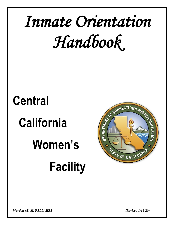# *Inmate Orientation Handbook*

# **Central California**  **Women's** **Facility**



*Warden (A) M. PALLARES\_\_\_\_\_\_\_\_\_\_\_\_\_\_ (Revised 1/16/20)*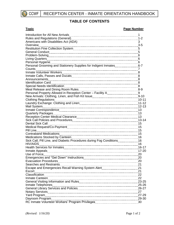

# **TABLE OF CONTENTS**

# **Topic Page Number**

| Americans with Disabilities Act (ADA)                                                                                                                                                                                          | 3  |
|--------------------------------------------------------------------------------------------------------------------------------------------------------------------------------------------------------------------------------|----|
| Overview                                                                                                                                                                                                                       |    |
|                                                                                                                                                                                                                                |    |
|                                                                                                                                                                                                                                |    |
|                                                                                                                                                                                                                                |    |
|                                                                                                                                                                                                                                |    |
|                                                                                                                                                                                                                                |    |
| Personal Grooming and Stationery Supplies for Indigent Inmates6-7                                                                                                                                                              |    |
|                                                                                                                                                                                                                                |    |
|                                                                                                                                                                                                                                |    |
|                                                                                                                                                                                                                                |    |
|                                                                                                                                                                                                                                |    |
|                                                                                                                                                                                                                                |    |
|                                                                                                                                                                                                                                |    |
|                                                                                                                                                                                                                                |    |
|                                                                                                                                                                                                                                |    |
|                                                                                                                                                                                                                                |    |
|                                                                                                                                                                                                                                |    |
|                                                                                                                                                                                                                                |    |
|                                                                                                                                                                                                                                |    |
|                                                                                                                                                                                                                                |    |
|                                                                                                                                                                                                                                |    |
|                                                                                                                                                                                                                                |    |
|                                                                                                                                                                                                                                |    |
| Dental Sick Call                                                                                                                                                                                                               |    |
|                                                                                                                                                                                                                                |    |
|                                                                                                                                                                                                                                |    |
| Contraband Medications [11, 2010] Annan Marco Marco Medications (15, 2011) Marco Muslim (15, 2011) Marco Muslim (15, 2011) Marco Muslim (15, 2011) Marco Muslim (15, 2011) Marco Muslim (15, 2012) Marco Muslim (15, 2012) Mar |    |
|                                                                                                                                                                                                                                |    |
| Sick Call, Pill Line, and Diabetic Procedures during Fog Conditions 16                                                                                                                                                         |    |
|                                                                                                                                                                                                                                |    |
|                                                                                                                                                                                                                                |    |
|                                                                                                                                                                                                                                |    |
| Use of Force                                                                                                                                                                                                                   |    |
|                                                                                                                                                                                                                                | 20 |
|                                                                                                                                                                                                                                | 20 |
|                                                                                                                                                                                                                                |    |
|                                                                                                                                                                                                                                |    |
|                                                                                                                                                                                                                                |    |
|                                                                                                                                                                                                                                |    |
|                                                                                                                                                                                                                                |    |
|                                                                                                                                                                                                                                |    |
|                                                                                                                                                                                                                                |    |
|                                                                                                                                                                                                                                |    |
|                                                                                                                                                                                                                                |    |
|                                                                                                                                                                                                                                |    |
|                                                                                                                                                                                                                                |    |
|                                                                                                                                                                                                                                |    |
|                                                                                                                                                                                                                                |    |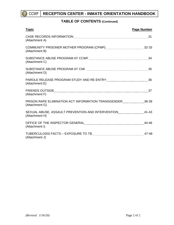

# **TABLE OF CONTENTS (Continued)**

| <b>Topic</b>                                                                                                    | <b>Page Number</b> |
|-----------------------------------------------------------------------------------------------------------------|--------------------|
| (Attachment A)                                                                                                  |                    |
| (Attachment B)                                                                                                  |                    |
| (Attachment C)                                                                                                  |                    |
| (Attachment D)                                                                                                  |                    |
| (Attachment E)                                                                                                  |                    |
| (Attachment F)                                                                                                  |                    |
| PRISON RAPE ELIMINATION ACT INFORMATION TRANSGENDER [[[[[[[[[[[[[[[[[[[[[[[]]]]]]]]]][[38-39]<br>(Attachment G) |                    |
| SEXUAL ABUSE, ASSAULT PREVENTION AND INTERVENTION MALLO MALL 41-43<br>(Attachment H)                            |                    |
| OFFICE OF THE INSPECTOR GENERAL MALL CONTINUES AND THE 44-46<br>(Attachment I)                                  |                    |
| (Attachment J)                                                                                                  |                    |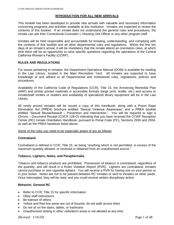### **INTRODUCTION FOR ALL NEW ARRIVALS**

This booklet has been developed to provide new arrivals with valuable and necessary information concerning programs and activities available at this institution. Inmates are expected to review the contents of this booklet. If an inmate does not understand the general rules and procedures, the inmate can ask their Correctional Counselor I, Housing Unit Officer or any other program staff.

Inmates will be held responsible and accountable for knowing, understanding, and complying with the contents of this booklet and all other departmental rules and regulations. Within the first ten days of an inmate's arrival, it will be mandatory that the inmate attend an orientation class, at which time there will be an opportunity to raise specific questions regarding the operations of the Central California Women's Facility (CCWF).

### **RULES AND REGULATIONS**

For issues pertaining to inmates, the Department Operations Manual (DOM) is available for reading in the Law Library, located in the Main Recreation Yard. All inmates are expected to have knowledge of and adhere to all Departmental and Institutional rules, regulations, policies and procedures.

Availability of the California Code of Regulations (CCR), Title 15, the Armstrong Remedial Plan (ARP) and similar printed materials in accessible formats (large print, braille, etc.) and access to inmate/staff scribes or readers and availability of specialized library equipment will be in the Law Library.

All newly arrived inmates will be issued a copy of this handbook, along with a Prison Rape Elimination Act (PREA) brochure entitled "Sexual Violence Awareness" and a PREA booklet entitled "Sexual Abuse/Assault – Prevention and Intervention." You will be required to sign a Chrono – Document Receipt (CDCR 128-O) indicating that you have received the CCWF Reception Center (RC) Inmate Orientation Handbook, pursuant to Penal Code (PC), Sections 2930 and 2934, as well as the PREA handouts listed above.

Some of the rules you need to be especially aware of are as follows:

# **Contraband**

Contraband is defined in CCR, Title 15, as being "anything which is not permitted, in excess of the maximum quantity allowed, or received or obtained from an unauthorized source."

# **Tobacco, Lighters, Notes, and Paraphernalia**

Tobacco and tobacco products are prohibited. Possession of tobacco is contraband, regardless of the quantity, and will result in a Rules Violation Report (RVR). Lighters are contraband; inmates cannot purchase or own cigarette lighters. You will receive a RVR for having one on your person or in your locker. Notes are not to be passed between RC inmates or sent to inmates on other yards. Once intercepted, they will be read, and you could receive written disciplinary action.

# **Behavior, General RC**

- Refer to CCR, Title 15 for specific information
- Obey staff instructions
- Be tolerant of others
- Yellow and Red line areas are out of bounds; do not walk across them
- Do not sit on the stairs, tables, or trashcans
- Unauthorized visiting in other cells/dorm areas is not allowed at any time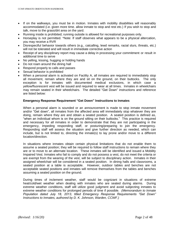- If on the walkways, you must be in motion. Inmates with mobility disabilities will reasonably accommodated (i.e. given more time. allow inmate to stop and rest etc.) If you wish to stop and talk, move to the grass/dirt area on the yard.
- Running inside is prohibited; running outside is allowed for recreational purposes only.
- Horseplay is not permitted. \*Note: If staff observes what appears to be a physical altercation, you may receive a RVR
- Disrespectful behavior towards others (e.g., catcalling, lewd remarks, racial slurs, threats, etc.) will not be tolerated and will result in immediate corrective action
- Receipt of any disciplinary report may cause a delay in processing your commitment or result in additional time to serve
- No yelling, kissing, hugging or holding hands
- Do not roam around the dining hall
- Respond properly to calls and passes
- Sexual behavior is prohibited
- When a personal alarm is activated on Facility A, all inmates are required to immediately stop all movement, remain where they are and sit on the ground, on their buttocks. The only exception is for inmates with documented medical exclusions, in which case a yellow/fluorescent vest will be issued and required to wear at all times. Inmates in wheelchairs may remain seated in their wheelchairs. The detailed "Get Down" instructions and reference are listed below:

#### **Emergency Response Requirement "Get Down" Instructions to Inmates**

When a personal alarm is sounded or an announcement is made to stop inmate movement and/or "Get down", all inmates from the affected area will immediately stop whatever they are doing, remain where they are and obtain a seated position. A seated position is defined as, "when an individual whom is on the ground sitting on their buttocks." This practice is required and necessary for all inmates in order to demonstrate that they are not participating in the emergency, impeding responding staff, or posturing/preparing to join the emergency. Responding staff will assess the situation and give further direction as needed, which can include, but is not limited to, directing the inmate(s) to lay prone and/or move to a different location/direction.

In situations where inmates obtain certain physical limitations that do not enable them to assume a seated position; they will be required to follow staff instructions to remain where they are or to move to an alternate location. These inmates will be identified and issued a Mobility Impaired Vest. Inmates who fail to comply and do not possess a vest, do not meet the criteria or are exempt from the wearing of the vest, will be subject to disciplinary action. Inmates in their assigned wheelchair will be considered in a seated position. In dining halls and classrooms, a seated position at a table is acceptable. However, outdoor tables and benches are not acceptable seated positions and inmates will remove themselves from the tables and benches assuming a seated position on the ground.

During times of inclement weather, staff would be cognizant in situations of extreme heat/cold/wet weather when dealing with inmates who are seated during alarms. During extreme weather conditions, staff will utilize good judgment and avoid subjecting inmates to extreme weather conditions for prolonged periods of time if possible. *(Memorandum to Inmate Population dated July 18, 2013, titled Emergency Response Requirements "Get Down" Instructions to Inmates, authored by D. K. Johnson, Warden, CCWF.)*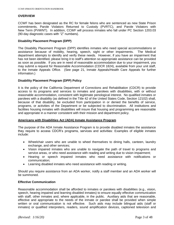#### **OVERVIEW**

CCWF has been designated as the RC for female felons who are sentenced as new State Prison commitments, Parole Violators Returned to Custody (PVRTC), and Parole Violators with New Term (PVWNT). In addition, CCWF will process inmates who fall under PC Section 1203.03 (90-day diagnostic cases with "Z" numbers).

# **Disability Placement Program (DPP)**

The Disability Placement Program (DPP) identifies inmates who need special accommodations or assistance because of mobility, hearing, speech, sight or other impairments. The Medical department attempts to identify and verify these needs. However, if you have an impairment that has not been identified, please bring it to staff's attention so appropriate assistance can be provided as soon as possible. If you are in need of reasonable accommodation due to your impairment, you may submit a request for Reasonable Accommodation (CDCR 1824), available from your unit staff, to the Inmate Appeals Office. (See page 21, Inmate Appeals/Health Care Appeals for further information.)

# **Disability Placement Program (DPP) Policy**

It is the policy of the California Department of Corrections and Rehabilitation (CDCR) to provide access to its programs and services to inmates and parolees with disabilities, with or without reasonable accommodation, consistent with legitimate penological interest. No qualified inmates or parolees with a disability (as defined in the Title 42 of the United States Code, Section 12102) shall, because of that disability, be excluded from participation in or denied the benefits of service, programs, or activities of the Department or be subjected to discrimination. All institutions and facilities housing inmates with disabilities will insure that housing and programming are reasonable and appropriate in a manner consistent with their mission and department policy.

#### **Americans with Disabilities Act (ADA) Inmate Assistance Program**

The purpose of the ADA Inmate Assistance Program is to provide disabled inmates the assistance they require to access CDCR's programs, services and activities: Examples of eligible inmates include:

- Wheelchair users who are unable to wheel themselves to dining halls, canteen, laundry exchange, and other services;
- Vision impaired inmates who are unable to navigate the path of travel to programs and service areas, or who need assistance with reading and writing due to vision impairment;
- Hearing or speech impaired inmates who need assistance with notifications or communication;
- Learning disabled inmates who need assistance with reading or writing.

Should you require assistance from an ADA worker, notify a staff member and an ADA worker will be summoned.

# **Effective Communication**

Reasonable accommodation shall be afforded to inmates or parolees with disabilities (e.g., vision, speech, hearing impaired and learning disabled inmates) to ensure equally effective communication with staff, other inmates and, where applicable, in the public. Auxiliary aids that are reasonable, effective and appropriate to the needs of the inmate or parolee shall be provided when simple written or oral communication is not effective. Such aids may include bilingual aids (staff or inmates) or qualified interpreters, readers, sound amplification devices, captioned television and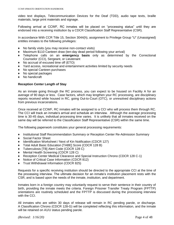video text displays, Telecommunication Devices for the Deaf (TDD), audio tape texts, braille materials, large print materials and signage.

Following arrival at CCWF, RC inmates will be placed on "processing status" until they are endorsed into a receiving institution by a CDCR Classification Staff Representative (CSR).

In accordance With CCR Title 15, Section 3044(h), assignment to Privilege Group "U" (Unassigned) entitles inmates to the following privileges:

- ♦ No family visits (you may receive non-contact visits)
- Maximum \$110 Canteen draw (ten-day dead period following your arrival)
- ♦ Telephone calls on an **emergency basis** only as determined by the Correctional Counselor (CCI), Sergeant, or Lieutenant
- ♦ No accrual of excused time off (ETO)
- ♦ Yard access, recreational and entertainment activities limited by security needs
- ♦ No special Canteen purchases
- ♦ No special packages
- No handicraft

### **Reception Center Length of Stay**

As an inmate going through the RC process, you can expect to be housed on Facility A for an average of 90 days or less. Case factors, which may lengthen your RC processing, are disciplinary reports received while housed in RC, going Out-to-Court (OTC), or unresolved disciplinary actions from previous incarcerations.

Once received at CCWF, RC inmates will be assigned to a CCI who will process them through RC. The CCI will track an inmate's arrival and schedule an interview. Although the average processing time is 30-45 days, individual processing time varies. It is unlikely that all inmates received on the same day will be referred to the Classification Staff Representative (CSR) within the same time.

The following paperwork constitutes your general processing requirements:

- ♦ Institutional Staff Recommendation Summary or Reception Center Re-Admission Summary
- ◆ Social Factor Sheet
- ♦ Identification Worksheet / Next of Kin Notification (CDCR 127)
- Total Adult Basic Education [TABE] Score (CDCR 128 B)
- ♦ Tuberculosis [TB] Alert Code (CDCR 128 C)
- ♦ Mental Health Screening (CDCR 128 C)
- Reception Center Medical Clearance and Special Instruction Chrono (CDCR 128 C-1)
- Notice of Critical Case Information (CDCR 812)
- ♦ Trust Withdrawal Information (CDCR 825)

Requests for a specific receiving institution should be directed to the appropriate CCI at the time of the processing interview. The ultimate decision for an inmate's institution placement rests with the CSR, and is based upon the needs of the inmate, institution, and department.

Inmates born in a foreign country may voluntarily request to serve their sentence in their country of birth, providing the inmate meets the criteria. Foreign Prisoner Transfer Treaty Program (FPTTP) orientations are routinely scheduled and the FPTTP is discussed during the processing interview with the CCI.

All inmates who are within 30 days of release will remain in RC pending parole, or discharge. A Classification Chrono (CDCR 128-G) will be completed reflecting this information, and the inmate will be retained on A1/U status pending parole.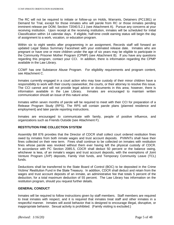The RC will not be required to initiate or follow-up on Holds, Warrants, Detainers (PC1381) or Demand for Trial, except for those inmates who will parole from RC or those inmates pending imminent release per DOM, Section 72040.5.2.1 (see Attachment A). Pursue any concerns at your receiving institution. Upon receipt at the receiving institution, inmates will be scheduled for Initial Classification within 14 calendar days. If eligible, half-time credit earning status will begin the day of assignment to a work, vocation, or education program.

Within six to eight weeks after programming in an assignment, Records staff will forward an updated Legal Status Summary Facesheet with your estimated release date. Inmates who are pregnant or have one or more children under the age of six years may be eligible to participate in the Community Prisoner Mother Program (CPMP) (see Attachment B). If you have any questions regarding this program, contact your CCI. In addition, there is information regarding the CPMP available in the Law Library.

CCWF has one Substance Abuse Program. For eligibility requirements and program content, see Attachment C.

Inmates currently engaged in a court action who may lose custody of their minor children have a responsibility to work with their county caseworker, the courts, or their attorney to resolve this issue. The CCI cannot and will not provide legal advice or documents in this area; however, there is information available in the Law Library. Inmates are encouraged to maintain written communication should an issue of this nature arise.

Inmates within seven months of parole will be required to meet with their CCI for preparation of a Release Program Study (RPS). The RPS will contain parole plans (planned residence and employment) and later parole reporting instructions.

Inmates are encouraged to communicate with family, people of positive influence, and organizations such as Friends Outside (see Attachment F).

# **RESTITUTION FINE COLLECTION SYSTEM**

Assembly Bill 876 provides that the Director of CDCR shall collect court ordered restitution fines owed by inmates from both inmate wages and trust account deposits. PVWNTs shall have their fines collected on their new term. Fines shall continue to be collected on inmates with restitution fines whose parole was revoked without them ever having left the physical custody of CDCR. In accordance with PC Section 2085.5, CDCR shall deduct 50 percent or the balance owing, whichever is less, of an inmate's wages and trust account deposits, with the exemptions of Joint Venture Program (JVP) deposits, Family Visit funds, and Temporary Community Leave (TCL) funds.

Deductions shall be transferred to the State Board of Control (BOC) to be deposited in the Crime Victims' Restitution Fund in the State Treasury. In addition, CDCR shall deduct and retain from the wages and trust account deposits of an inmate, an administrative fee that totals 5 percent of the deduction, for a total maximum deduction of 55 percent. The Law Library has information on the restitution program, should you request further details.

#### **GENERAL CONDUCT**

Inmates will be required to follow instructions given by staff members. Staff members are required to treat inmates with respect, and it is required that inmates treat staff and other inmates in a respectful manner. Inmates will avoid behavior that is designed to encourage illegal, disruptive, or inappropriate behavior. Sexual activity is prohibited. (Family visiting is excluded.)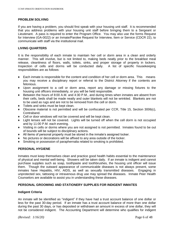# **PROBLEM SOLVING**

If you are having a problem, you should first speak with your housing unit staff. It is recommended that you address problems with your housing unit staff before bringing them to a Sergeant or Lieutenant. A pass is required to enter the Program Office. You may also use the forms Request for Interview (GA-0022) or an Inmate/Parolee Request for Interview, Item or Service (CDCR 22), to communicate with staff via the institutional mail.

#### **LIVING QUARTERS**

It is the responsibility of each inmate to maintain her cell or dorm area in a clean and orderly manner. This will involve, but is not limited to, making beds neatly prior to the breakfast meal release, cleanliness of floors, walls, toilets, sinks, and proper storage of property in lockers. Inspection of cells and dorms will be conducted daily. A list of specific housekeeping responsibilities are as follows:

- ♦ Each inmate is responsible for the content and condition of her cell or dorm area. This means you may receive a disciplinary report or referral to the District Attorney if the contents are felonious.
- ♦ Upon assignment to a cell or dorm area, report any damage or missing fixtures to the housing unit officers immediately, or you will be held responsible.
- ♦ Between the hours of 8:00 A.M. and 4:30 P.M., and during times when inmates are absent from their cells, beds shall be made neatly and outer blankets will not be wrinkled. Blankets are not to be used as rugs and are not to be removed from the cell or dorm.
- ♦ Toilets and sinks must be kept clean.
- ♦ Obscene material is not permitted and will be confiscated per CCR, Title 15, Section 3006(c), Contraband.
- ♦ Cell or door windows will not be covered and will be kept clean.
- ♦ Light lenses will not be covered. Lights will be turned off when the cell dorm is not occupied and by 11:00 P.M. each evening.
- ♦ Visiting in cells or dorms where you are not assigned is not permitted. Inmates found to be out of bounds will be subject to disciplinary actions.
- ♦ All items of personal property must be stored in the inmate's assigned locker.
- No pictures or decorations will be affixed to any area outside of the locker.
- Smoking or possession of paraphernalia related to smoking is prohibited.

# **PERSONAL HYGIENE**

Inmates must keep themselves clean and practice good health habits essential to the maintenance of physical and mental well-being. Showers will be taken daily. If an inmate is indigent and cannot purchase supplies such as soap, toothpaste and toothbrushes, the housing unit officer will issue them. Though the outward appearance of communicable diseases is not always present, some inmates have Hepatitis, HIV, AIDS, as well as sexually transmitted diseases. Engaging in unprotected sex, tattooing or intravenous drug use may spread the diseases. Inmate Peer Health Counselors are available to assist you in understanding these diseases.

#### **PERSONAL GROOMING AND STATIONERY SUPPLIES FOR INDIGENT INMATES**

#### **Indigent Criteria**

An inmate will be identified as "indigent" if they have had a trust account balance of one dollar or less for the past 30-day period. If an inmate has a trust account balance of more than one dollar during the past 30 days, or has deposited or withdrawn an amount in excess of one dollar, they will not be considered indigent. The Accounting Department will determine who qualifies for indigent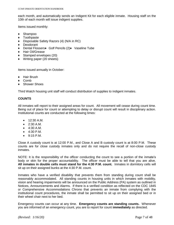each month, and automatically sends an Indigent Kit for each eligible inmate. Housing staff on the 10th of each month will issue indigent supplies.

Items issued monthly:

- ♦ Shampoo
- ♦ Toothpaste
- ♦ Disposable Safety Razors (4) (N/A in RC)
- ♦ Deodorant
- ♦ Dental Flossers♦ Golf Pencils (2)♦ Vaseline Tube
- ♦ Hair Oil/Grease
- ♦ Stamped envelopes (20)
- ♦ Writing paper (20 sheets)

Items issued annually in October:

- **Hair Brush**
- Comb
- ♦ Shower Shoes

Third Watch housing unit staff will conduct distribution of supplies to indigent inmates.

#### **COUNTS**

All inmates will report to their assigned areas for count. All movement will cease during count time. Being out of place for count or attempting to delay or disrupt count will result in disciplinary action. Institutional counts are conducted at the following times:

- $\bullet$  12:30 A.M.
- $\bullet$  2:30 A.M.
- 4:30 A.M.
- $-4:30$  P.M.
- 9:15 P.M.

Close A custody count is at 12:00 P.M., and Close A and B custody count is at 8:00 P.M. These counts are for close custody inmates only and do not require the recall of non-close custody inmates.

NOTE: It is the responsibility of the officer conducting the count to see a portion of the inmate's body or skin for the proper accountability. The officer must be able to tell that you are alive. **All inmates in double cells must stand for the 4:30 P.M. count.** Inmates in dormitory cells will sit up on their assigned bunks at the 4:30 P.M. count.

Inmates who have a verified disability that prevents them from standing during count shall be reasonably accommodated. All standing counts in housing units in which inmates with mobility, vision and hearing impairments will be announced on the Public Address (PA) system as outlined in Notices, Announcements and Alarms. If there is a verified condition as reflected on the CDC 1845 or Comprehensive Accommodations Chrono that prevents an inmate from complying with the institutional count procedures, the inmate shall be permitted to sit up on their assigned bed or in their wheel chair next to her bed.

Emergency counts can occur at any time. **Emergency counts are standing counts.** Whenever you are informed of an emergency count, you are to report for count **immediately** as directed.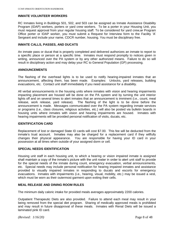### **INMATE VOLUNTEER WORKERS**

RC Inmates living in Buildings 501, 502, and 503 can be assigned as Inmate Assistance Disability Program (IDAP) workers, porters or yard crew workers. To be a porter in your Housing Unit, you must request approval from your regular housing staff. To be considered for yard crew, of Program Office porter or IDAP worker, you must submit a Request for Interview form to the Facility 'A' Sergeant and include your name, CDCR number, housing. You must be disciplinary free.

#### **INMATE CALLS, PASSES, AND DUCATS**

An inmate pass or ducat that is properly completed and delivered authorizes an inmate to report to a specific place or person at a specific time. Inmates must respond promptly to notices given in writing, announced over the PA system or by any other authorized means. Failure to do so will result in disciplinary action and may delay your RC to General Population (GP) processing.

#### **ANNOUNCEMENTS**

The flashing of the overhead lights is to be used to notify hearing-impaired inmates that an announcement, affecting them, has been made. Examples: Unlocks, yard releases, building evacuations, etc. Contact unit staff immediately if you need assistance for a disability.

All verbal announcements in the housing units where inmates with vision and hearing impairments impacting placement are housed will be done on the PA system and by turning the unit interior lights off and on several times to alert inmates that an announcement is imminent (i.e., count, meal release, work release, yard release). The flashing of the light is to be done before the announcement is made. Messages communicated over the PA system regarding inmate services or programs (i.e., class closures, religious activities, etc.) will also be posted via bulletin boards in housing units where inmates with vision and hearing impairments are housed. Inmates with hearing impairments will be provided personal notification of visits, ducats, etc.

#### **IDENTIFICATION CARD**

Replacement of lost or damaged State ID cards will cost \$7.00. This fee will be deducted from the inmate's trust account. Inmates may also be charged for a replacement card if they willfully changes their physical appearance. You are responsible for having your ID card in your possession at all times when outside of your assigned dorm or cell.

# **SPECIAL NEEDS IDENTIFICATION**

Housing unit staff in each housing unit, to which a hearing or vision impaired inmate is assigned shall maintain a copy of the inmate's picture with the unit roster in order to alert unit staff to provide for the special needs of the inmate during count, emergency evacuation, verbal announcements, etc. Special needs may include personal notification for hearing impaired inmates and assistance provided to visually impaired inmates in responding to ducats and escorts for emergency evacuations. Inmates with impairments (i.e., hearing, visual, mobility, etc.) may be issued a vest, which must be worn as their outermost garment upon exiting their cells.

#### **MEAL RELEASE AND DINING ROOM RULES**

The minimum daily caloric intake for provided meals averages approximately 2200 calories.

Outpatient Therapeutic Diets are also provided. Failure to attend each meal may result in your being removed from the special diet program. Sharing of medically approved meals is prohibited and may result in future disapproval of these meals. Inmates with Renal Diets will be issued a laminated pink ID card.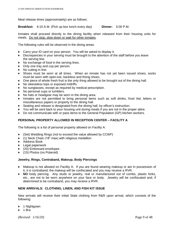Meal release times (approximately) are as follows:

**Breakfast:** 6:10 A.M. (Pick up box lunch every day) **Dinner:** 5:00 P.M.

Inmates shall proceed directly to the dining facility when released from their housing units for meals. Do not stop, slow down or wait for other inmates.

The following rules will be observed in the dining areas:

- ♦ Carry your ID card on your person. You will be asked to display it.
- ♦ Discrepancies in your serving must be brought to the attention of the staff before you leave the serving line.
- ♦ No exchange of food in the serving lines.
- ♦ Only one tray and cup per person.
- No cutting in line.
- ♦ Shoes must be worn at all times. When an inmate has not yet been issued shoes, socks must be worn with open-toe, backless and thong shoes.
- ♦ One piece of whole fresh fruit is the only thing allowed to be brought out of the dining hall.
- No sleeveless tops or exposed midriffs.
- No sunglasses, except as required by medical prescription.
- No personal cups or tumblers.
- ♦ No hats or headgear may be worn in the dining area.
- ♦ Inmates are not permitted to bring personal items such as soft drinks, Kool Aid, letters or miscellaneous papers or property to the dining hall.
- Seating and release is designated from the dining hall, by officer's instruction.
- You will be sent back to your housing unit during meals if you are not in the proper attire.
- Do not communicate with or pass items to the General Population (GP) kitchen workers.

# **PERSONAL PROPERTY ALLOWED IN RECEPTION CENTER – FACILITY A**

The following is a list of personal property allowed on Facility A:

- ♦ (Set) Wedding Rings (not to exceed the value allowed by CCWF)
- ♦ (1) Neck Chain (18" max) with religious medallion
- ♦ Address Book
- ♦ Legal paperwork
- ♦ (20) Embossed envelopes
- ♦ (15) Photos (no Polaroid)

#### **Jewelry, Rings, Contraband, Makeup, Body Piercings**

- ♦ Makeup is not allowed on Facility A. If you are found wearing makeup or are in possession of it, it is contraband; the makeup will be confiscated and you may receive a RVR.
- ♦ **NO** body piercing. Any studs or jewelry, real or manufactured out of combs, plastic forks, etc., are not to be worn anywhere on your face or body. Jewelry will be confiscated and, if determined to be contraband, you may receive a RVR.

# **NEW ARRIVALS: CLOTHING, LINEN, AND FISH KIT ISSUE**

New arrivals will receive their initial State clothing from R&R upon arrival, which consists of the following:

- ♦ 1 Nightgown
- $\bullet$  1 Bra

*(Revised: 1/16/20)* Page 9 of 48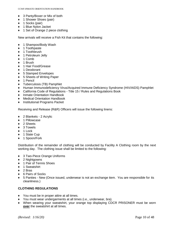- ♦ 3 Panty/Boxer or Mix of both
- ◆ 1 Shower Shoes (pair)
- ♦ 1 Socks (pair)
- ♦ 1 Blue Nylon Jacket
- ♦ 1 Set of Orange 2 piece clothing

New arrivals will receive a Fish Kit that contains the following:

- ♦ 1 Shampoo/Body Wash
- ♦ 1 Toothpaste
- ♦ 1 Toothbrush
- ♦ 1 Petroleum Jelly
- ♦ 1 Comb
- ♦ 1 Brush
- ♦ 1 Hair Food/Grease
- ♦ 1 Deodorant
- ♦ 5 Stamped Envelopes
- ♦ 5 Sheets of Writing Paper
- ♦ 1 Pencil
- ♦ Tuberculosis (TB) Pamphlet
- ♦ Human Immunodeficiency Virus/Acquired Immune Deficiency Syndrome (HIV/AIDS) Pamphlet
- ♦ California Code of Regulations Title 15 / Rules and Regulations Book
- ♦ Inmate Orientation Handbook
- ♦ Medical Orientation Handbook
- ♦ Institutional Programs Packet

Receiving and Release (R&R) Officers will issue the following linens:

- ♦ 2 Blankets 2 Acrylic
- ♦ 1 Pillowcase
- ◆ 2 Sheets
- ♦ 3 Towels
- ♦ 1 Lock
- ◆ 1 State Cup
- ♦ 1 Spoon/Fork

Distribution of the remainder of clothing will be conducted by Facility A Clothing room by the next working day. The clothing issue shall be limited to the following:

- ♦ 3 Two-Piece Orange Uniforms
- ♦ 2 Nightgowns
- ♦ 1 Pair of Tennis Shoes
- ♦ 1 Sweatshirt
- $\div$  2 Bras
- ♦ 6 Pairs of Socks
- ♦ 5 Panties New (Once issued, underwear is not an exchange item. You are responsible for its cleanliness.)

# **CLOTHING REGULATIONS**

- ♦ You must be in proper attire at all times.
- ♦ You must wear undergarments at all times (i.e., underwear, bra).
- ♦ When wearing your sweatshirt, your orange top displaying CDCR PRISONER must be worn **over** the sweatshirt at all times.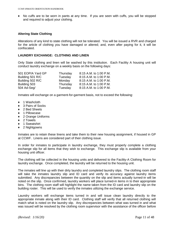♦ No cuffs are to be worn in pants at any time. If you are seen with cuffs, you will be stopped and required to adjust your clothing.

# **Altering State Clothing**

Alterations of any kind to state clothing will not be tolerated. You will be issued a RVR and charged for the article of clothing you have damaged or altered; and, even after paying for it, it will be confiscated.

#### **LAUNDRY EXCHANGE: CLOTHING AND LINEN**

Only State clothing and linen will be washed by this institution. Each Facility A housing unit will conduct laundry exchange on a weekly basis on the following days:

| 501 EOP/A Yard GP | Thursday | 8:15 A.M. to 1:00 P.M. |
|-------------------|----------|------------------------|
| Building 501 R/C  | Tuesday  | 8:15 A.M. to 1:00 P.M. |
| Building 502 R/C  | Monday   | 8:15 A.M. to 1:00 P.M. |
| Building 503      | Thursday | 8:15 A.M. to 1:00 P.M. |
| 504 Ad-Seg/       | Tuesday  | 8:15 A.M. to 1:00 P.M. |

Inmates will exchange on a garment-for-garment basis, not to exceed the following:

- ♦ 1 Washcloth
- ♦ 3 Pairs of Socks
- ♦ 2 Bed Sheets
- ♦ 1 Pillowcase
- ♦ 2 Orange Uniforms
- ♦ 2 Towels
- ◆ 1 Sweatshirt
- ♦ 2 Nightgowns

Inmates are to retain these linens and take them to their new housing assignment, if housed in GP at CCWF. Linens are considered part of their clothing issue.

In order for inmates to participate in laundry exchange, they must properly complete a clothing exchange slip for all items that they wish to exchange. This exchange slip is available from your housing unit officer.

The clothing will be collected in the housing units and delivered to the Facility-A Clothing Room for laundry exchange. Once completed, the laundry will be returned to the housing unit.

The inmates will line up with their dirty laundry and completed laundry slips. The clothing room staff will take the inmates laundry slip and ID card and verify its accuracy against laundry items submitted. Any discrepancies between the quantity on the slip and items actually turned-in will be noted on the slip. Once confirmed, laundry workers will place turned-in items in to their appropriate bins. The clothing room staff will highlight the name taken from the ID card and laundry slip on the building roster. This will be used to verify the inmates utilizing the exchange service.

Laundry workers will exchange items turned in and will issue clean laundry directly to the appropriate inmate along with their ID card. Clothing staff will verify that all returned clothing will match what is noted on the laundry slip. Any discrepancies between what was turned in and what was issued will be resolved by the clothing room supervisor with the assistance of the officer before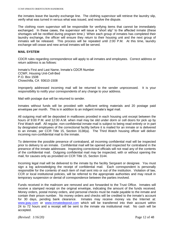the inmates leave the laundry exchange line. The clothing supervisor will retrieve the laundry slip, verify what was turned in versus what was issued, and resolve the dispute.

The clothing room supervisor will be responsible for verifying items that cannot be immediately exchanged. In these cases, the supervisor will issue a "short slip" to the affected inmate (these shortages will be rectified during program time.) When each group of inmates has completed their laundry exchange, the officer will ensure they return to their housing unit and the next group of inmates will be released. This process will be repeated until 2:00 P.M. At this time, laundry exchange will cease and new arrival inmates will be served.

#### **MAIL SYSTEM**

CDCR rules regarding correspondence will apply to all inmates and employees. Correct address or return address is as follows:

Inmate's First and Last Name, Inmate's CDCR Number CCWF, Housing Unit-Cell-Bed P.O. Box 1508 Chowchilla, CA 93610-1508

Improperly addressed incoming mail will be returned to the sender unprocessed. It is your responsibility to notify your correspondents of any change to your address.

Mail with postage due will be returned to sender.

Inmates without funds will be provided with sufficient writing materials and 20 postage paid envelopes per month. This is in addition to an indigent inmate's legal mail.

All outgoing mail will be deposited in mailboxes provided in each housing unit except between the hours of 9:00 P.M. and 12:00 A.M. when mail may be slid under dorm or cell doors for pick up by First Watch staff. All regular, non-confidential inmate mail is subject to being read entirely or in part by designated employees of the correctional facility before it is mailed for an inmate or is delivered to an inmate, per CCR Title 15, Section 3138(a). The Third Watch housing officer will deliver incoming non-confidential mail to the inmate.

To determine the possible presence of contraband, all incoming confidential mail will be inspected prior to delivery to an inmate. Confidential mail will be opened and inspected for contraband in the presence of the inmate addressee. Inspecting correctional officials will not read any of the contents of the confidential mail. Outgoing confidential mail may be inspected, with or without opening the mail, for causes only as provided on CCR Title 15, Section 3144.

Incoming legal mail will be delivered to the inmate by the facility Sergeant or designee. You must sign a log acknowledging the receipt of confidential mail. Each correspondent is personally responsible for the contents of each item of mail sent into or out of the institution. Violation of law, CCR or local institutional policies, will be referred to the appropriate authorities and may result in temporary suspension or denial of correspondence between the parties involved.

Funds received in the mailroom are removed and are forwarded to the Trust Office. Inmates will receive a stamped receipt on the original envelope, indicating the amount of the funds received. Money orders, postal money orders, and personal checks must be made payable to the inmate and contain their prison number. No money orders and checks will be credited to the inmate's account for 30 days, pending bank clearance. Inmates may receive money via the Internet at: [www.jpay.com](http://www.jpay.com/) or [www.inmatedeposit.com](http://www.inmatedeposit.com/) which will be transferred into their account within 24 to 72 hours and a receipt will be sent to the inmate via institutional mail. No cash will be accepted.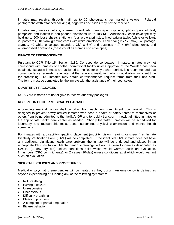Inmates may receive, through mail, up to 10 photographs per mailed envelope. Polaroid photographs (with attached backings), negatives and slides may **not** be received.

Inmates may receive letters, internet downloads, newspaper clippings, photocopies of text, pamphlets and leaflets in non-padded envelopes up to 10"x13". Additionally, each envelope may hold up to 500 loose sheets stationery (plain/colors/prints), 1 lined writing tablet (white or yellow), 20 postcards, 10 blank greeting cards with white envelopes, 1 calendar (9" x 12" max), 40 postage stamps, 40 white envelopes (standard  $3\frac{5}{8}$ " x  $6\frac{1}{2}$ " and business  $4\frac{1}{8}$ " x  $9\frac{1}{2}$ " sizes only), and 40 embossed envelopes (these count as stamps *and* envelopes).

#### **INMATE CORRESPONDENCE**

Pursuant to CCR Title 15, Section 3139, Correspondence between Inmates, inmates may not correspond with inmates of another correctional facility unless approval of the Warden has been obtained. Because inmates are assigned to the RC for only a short period, it is recommended that correspondence requests be initiated at the receiving institution, which would allow sufficient time for processing. RC inmates may obtain correspondence request forms from their unit staff. The forms must be completed by the inmate with the assistance of their counselor.

#### **QUARTERLY PACKAGES**

RC-A Yard inmates are not eligible to receive quarterly packages.

### **RECEPTION CENTER MEDICAL CLEARANCE**

A complete medical history shall be taken from each new commitment upon arrival. This is designed to prevent newly arrived inmates who pose a health or safety threat to themselves or others from being admitted to the facility's GP and to rapidly transport newly admitted inmates to the appropriate health care center as needed. Shortly thereafter, inmates will be scheduled for laboratory and radiographic tests, dental screening, physical examination and mental health screenings.

For inmates with a disability-impacting placement (mobility, vision, hearing, or speech) an Inmate Disability Verification Form (IDVF) will be completed. If the identified IDVF inmate does not have any additional significant health care problem, the inmate will be endorsed and placed in an appropriate DPP institution. Mental health screenings will not be given to inmates designated as SACTU (30-day dry out) unless conditions exist which would warrant such an evaluation. N numbers (CRC commitments), or Z cases (90-day) unless conditions exist which would warrant such an evaluation.

# **SICK CALL POLICIES AND PROCEDURES**

Medical or psychiatric emergencies will be treated as they occur. An emergency is defined as anyone experiencing or suffering any of the following symptoms:

- ♦ Not breathing
- ♦ Having a seizure
- ♦ Unresponsive
- ♦ Unconscious
- ♦ Difficulty breathing
- ♦ Bleeding profusely
- ♦ A complete or partial amputation
- ♦ Bizarre behavior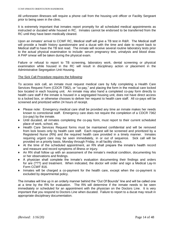All unforeseen illnesses will require a phone call from the housing unit officer or Facility Sergeant prior to being seen in the clinic.

It is extremely important that inmates report promptly for all scheduled medical appointments as instructed or ducated while housed in RC. Inmates cannot be endorsed to be transferred from the RC until they have been medically cleared.

Upon an inmates' arrival to CCWF RC, Medical staff will give a TB test in R&R. The Medical staff will provide a health history questionnaire and a ducat with the time and date to report back to Medical staff to have the TB test read. The inmate will receive several routine laboratory tests prior to the actual physical examination to include: serum pregnancy test, urinalysis and blood draw. A PAP smear will be taken during the physical exam.

Failure or refusal to report to TB screening, laboratory work, dental screening or physical examination while housed in the RC will result in disciplinary action or placement in the Administrative Segregation Unit Housing.

#### The Sick Call Procedure requires the following:

To access sick call, an inmate must request medical care by fully completing a Health Care Services Request Form (CDCR 7362), or "co-pay," and placing the form in the medical care locked box located in each housing unit. An inmate may also hand a completed co-pay form directly to health care staff if the inmate is housed in a segregated housing unit, does not have direct access to a locked box, or otherwise chooses to deliver her request to health care staff. All co-pays will be screened and prioritized within 24 hours of receipt.

- ♦ Please note: Emergency medical care shall be provided any time an inmate makes her needs known to correctional staff. Emergency care does not require the completion of a CDCR 7362 (co-pay) by the inmate.
- ♦ Until ducated, all inmates completing the co-pay form, must report to their current scheduled place of work, school, etc.
- ♦ Health Care Services Request forms must be maintained confidential and will be removed from lock boxes only by health care staff. Each request will be screened and prioritized by a Registered Nurse (RN) and the required health care provided in a timely manner. Inmates requiring urgent care may be seen immediately, in or out of sequence. Sick call will be provided on a priority basis, Monday through Friday, in all facility clinics.
- ♦ At the time of the scheduled appointment, an RN shall prepare the inmate's health record and measure and record symptoms of illness or injury.
- ♦ An RN shall follow up with an assessment of the inmate's medical condition, documenting his or her observations and findings.
- ♦ A physician shall complete the inmate's evaluation documenting their findings and orders for are (???) and treatment. When indicated, the doctor will order and sign a Medical Lay-In Form CCWF 816.
- ♦ Inmates will be charged a co-payment for the health care, except when the co-payment is excluded by departmental policy.

The inmates will line up in an orderly manner behind the "Out Of Bounds" line and will be called one at a time by the RN for evaluation. The RN will determine if the inmate needs to be seen immediately or scheduled for an appointment with the physician on the Doctors Line. It is very important that you respond to Doctors Line when ducated. Failure to report to a ducat may result in appropriate disciplinary documentation.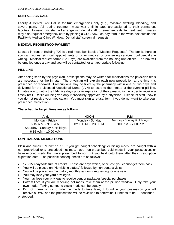### **DENTAL SICK CALL**

Facility A Dental Sick Call is for true emergencies only (e.g., massive swelling, bleeding, and severe pain). All routine treatment must wait until inmates are assigned to their permanent facilities. Housing unit staff will arrange with dental staff for emergency dental treatment. Inmates may also request emergency care by placing a CDC 7362, co-pay form in the white box outside the Facility-A Medical Clinic Window. Dental staff screen all requests.

#### **MEDICAL REQUEST/CO-PAYMENT**

Located in front of Building 703 is a red metal box labeled "Medical Requests." The box is there so you can request sick call appointments or other medical or counseling services confidentially in writing. Medical request forms (Co-Pays) are available from the housing unit officer. The box will be emptied once a day and you will be contacted for an appropriate follow-up.

#### **PILL LINE**

After being seen by the physician, prescriptions may be written for medications the physician feels are necessary for the inmate. The physician will explain each new prescription at the time it is prescribed or renewed. Prescriptions may be filled by the pharmacy within one or two days and delivered for the Licensed Vocational Nurse (LVN) to issue to the inmate at the evening pill line. Inmates are to notify the LVN five days prior to expiration of their prescription in order to receive a timely refill. Refills will be given only if previously approved by a physician. Please let staff know if you do not receive your medication. You must sign a refusal form if you do not want to take your prescribed medication.

#### **The schedule for pill lines are as follows:**

| A.M.                         | <b>NOON</b>            | <b>P.M.</b>                |
|------------------------------|------------------------|----------------------------|
| Monday - Friday              | Monday - Sunday        | Monday - Sunday & Holidays |
| 6:15 A.M. - 9:30 A.M.        | 12:00 P.M. - 1:30 P.M. | $5:00$ P.M. - 7:00 P.M.    |
| Saturday - Sunday & Holidays |                        |                            |
| 6:15 A.M. - 10:00 A.M.       |                        |                            |

#### **CONTRABAND MEDICATIONS**

Plain and simple: "Don't do it." If you get caught "cheeking" or hiding meds; are caught with a non-prescribed or a prescribed hot med; have non-prescribed cold meds in your possession; or have expired meds that were prescribed to you but you held onto them after their prescription expiration date. The possible consequences are as follows:

- ♦ 120-150 day forfeiture of credits. These are days which, once lost, you cannot get them back.
- ♦ You will be placed on "No visiting status," followed by non-contact visits.
- ♦ You will be placed on mandatory monthly random drug testing for one year.
- You may lose your yard privileges.
- You may lose your privilege to receive vendor packages/special purchases.
- Bottom line: if you are receiving hot meds, take them at the pill line window. Only take your own meds. Taking someone else's meds can be deadly.
- ♦ Do not cheek or try to hide the meds to take later; if found in your possession you will receive a RVR, and the prescription will be reviewed to determine if it needs to be continued or stopped.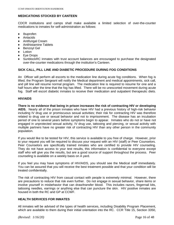# **MEDICATIONS STOCKED BY CANTEEN**

CDCR institutions and camps shall make available a limited selection of over-the-counter medications to inmates for self-administration as follows:

- ♦ Ibuprofen
- ♦ Antacids
- ♦ Antifungal Cream
- ♦ Antihistamine Tablets
- ♦ Benzoyl Gel
- ♦ Lotion
- ◆ Eye Drops
- SunblockRC inmates with trust account balances are encouraged to purchase the designated over-the-counter medications through the institution's Canteen.

# **SICK CALL, PILL LINE AND DIABETIC PROCEDURE DURING FOG CONDITIONS**

An Officer will perform all escorts to the medication line during acute fog conditions. When fog is lifted, the Program Sergeant will notify the Medical department and medical appointments, sick call, and pill line will resume normal program. The medication line is required to resume for one and a half hours after the time that the fog has lifted. There will be no unescorted movement during acute fog. Staff will escort diabetic inmates to receive their medication and outpatient therapeutic diets.

### **HIV/AIDS**

**There is no evidence that being in prison increases the risk of contracting HIV or developing AIDS.** Nearly all of the prison inmates who have HIV had a previous history of high-risk behavior including IV drug use or promiscuous sexual activities; their risk for contracting HIV was therefore related to drug use or sexual behavior and not to imprisonment. The disease has an incubation period of one to several years before symptoms begin to appear. Inmates who do not or have not engaged in unprotected sexual activity, IV drug use, tattooing and piercing, or sexual activity with multiple partners have no greater risk of contracting HIV than any other person in the community population.

If you would like to be tested for HIV, this service is available to you free of charge. However, prior to your request you will be required to discuss your request with an HIV (staff) or Peer Counselors. Peer Counselors are specifically trained inmates who are certified to provide HIV counseling. They do not have access to your test results, this information is confidential to everyone except staff who will give you the results, but are a good source of support throughout the process. Peer counseling is available on a weekly basis on A yard.

If you feel you may have symptoms of HIV/AIDS, you should see the Medical staff immediately. You can be assured that you will receive the best treatment possible and that your condition will be treated confidentially.

The risk of contracting HIV from casual contact with people is extremely minimal. However, there are precautions to reduce that risk even further. Do not engage in sexual behavior, share items or involve yourself in misbehavior that can draw/transfer blood. This includes razors, fingernail kits, tattooing needles, earrings or anything else that can puncture the skin. HIV positive inmates are housed in both the RC and GP at CCWF.

# **HEALTH SERVICES FOR INMATES**

All inmates will be advised of the types of health services, including Disability Program Placement, which are available to them during their initial orientation into the RC. CCR Title 15, Section 3350,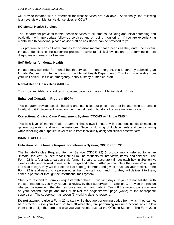will provide inmates with a reference for what services are available. Additionally, the following is an overview of Mental Health services at CCWF:

#### **RC Mental Health Services**

The Department provides mental health services to all inmates including and initial screening and evaluation with appropriate follow-up services and on going monitoring. If you are experiencing mental health concerns, please advise staff so assistance can be provided to you.

This program screens all new inmates for possible mental health needs as they enter the system. Inmates identified in the screening process receive full clinical evaluations to determine current diagnoses and needs for treatment.

#### **Self-Referral for Mental Health**

Inmates may self-refer for mental health services. If non-emergent, this is done by submitting an Inmate Request for Interview form to the Mental Health Department. This form is available from your unit officer. If it is an emergency, notify custody or medical staff.

#### **Mental Health Crisis Beds (MHCB)**

This provides 24-hour, short term in-patient care for inmates in Mental Health Crisis.

#### **Enhanced Outpatient Program (EOP)**

This program provides special housing and intensified out-patient care for inmates who are unable to adjust to GP placement based on their mental health, but do not require in-patient care.

#### **Correctional Clinical Case Management System (CCCMS or "Triple CMS")**

This is a level of mental health treatment that allows inmates with treatment needs to maintain general population and in some instances, Security Housing Unit placements and programming while receiving an outpatient level of care from individually assigned clinical caseworkers.

#### **INMATE APPEALS**

#### **Utilization of the Inmate Request for Interview System, CDCR Form 22**

The Inmate/Parolee Request, Item or Service (CDCR 22) (most commonly referred to as an "Inmate Request") is used to facilitate all routine requests for interviews, items, and services. The Form 22 is a four-page, carbon-style form. Be sure to accurately fill out each box in Section A, clearly state your request in neat writing, sign and date it. After you complete the Form 22 and give it to staff to sign, they will tear off the last page (goldenrod) and give it to you as your receipt. If the Form 22 is addressed to a person other than the staff you hand it to, they will deliver it to them, either in person or through the institutional mail system.

Staff is to respond to Form 22 requests within three (3) working days. If you are not satisfied with the staff response, you may request a review by their supervisor. In Section C, provide the reason why you disagree with the staff response, and sign and date it. Tear off the second page (canary) as your second receipt, and mail or deliver the original/cover page (white) to the appropriate supervisor. The supervisor has seven (7) working days to respond.

**Do not** attempt to give a Form 22 to staff while they are performing duties from which they cannot be distracted. Give your Form 22 to staff while they are performing routine functions which allow them time to sign the form and give you your receipt (i.e., at the Officer's Station.) The Form 22 is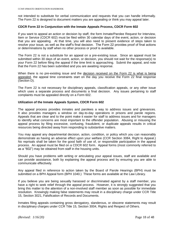not intended to substitute for verbal communication and requests that you can handle informally. The Form 22 is designed to document matters you are appealing or think you may appeal later.

#### **CDCR Form 22 in Conjunction with the Inmate Appeals Process, CDCR Form 602**

If you want to appeal an action or decision by staff, the form Inmate/Parolee Request for Interview, Item or Service (CDCR 602) must be filed within 30 calendar days of the event, action, or decision that you are appealing. At that time, you will also need to present evidence of steps taken to resolve your issue, as well as the staff's final decision. The Form 22 provides proof of final actions or determinations by staff when no other process or proof is available.

The Form 22 is not a substitute for an appeal on a pre-existing issue. Since an appeal must be submitted within 30 days of an event, action, or decision, you should not wait for the response(s) to your Form 22 before filing the appeal if the time limit is approaching. Submit the appeal, and note that the Form 22 has been submitted and you are awaiting response.

When there is no pre-existing issue and the decision received on the Form 22 is what is being appealed, the appeal time constraints start on the day you receive the Form 22 final response (Section D).

The Form 22 is not necessary for disciplinary appeals, classification appeals, or any other issue which uses a separate process and documents a final decision. Any issues pertaining to staff complaints must be appealed directly on a Form 602.

#### **Utilization of the Inmate Appeals System, CDCR Form 602**

The appeal process provides inmates and parolees a way to address issues and grievances. It also provides managers a window on day-to-day operations in prisons and parole regions. Appeals that are clear and to the point make it easier for staff to address issues and for managers to identify what concerns are most important to the offender population. Abusing or misusing the appeal process by filing excessive, confusing, fraudulent, or duplicate appeals results in critical resources being directed away from responding to substantive matters.

You may appeal any departmental decision, action, condition, or policy which you can reasonably demonstrate as having an adverse effect upon your welfare (CCR Section 3084, Right to Appeal.) No reprisals shall be taken for the good faith of use of, or responsible participation in the appeal process. An appeal must be filed on a CDCR 602 form. Appeal forms (most commonly referred to as a "602") may be obtained from staff in the housing units.

Should you have problems with writing or articulating your appeal issues, staff are available and can provide assistance, both by explaining the appeal process and by ensuring you are able to communicate effectively.

Any appeal filed in reference to action taken by the Board of Parole Hearings (BPH) must be submitted on a BPH Appeal form (BPH 1040.) These forms are available at the Law Library.

If you believe you are being sexually harassed or discriminated against by a staff member, you have a right to seek relief through the appeal process. However, it is strongly suggested that you bring this matter to the attention of a non-involved staff member as soon as possible for immediate resolution. Knowingly making false statements may result in a disciplinary charge under CCR Title 15, Section 3021, Falsification of Records and Documents.

Inmates filing appeals containing gross derogatory, slanderous, or obscene statements may result in disciplinary charges under CCR Title 15, Section 3004, Rights and Respect of Others.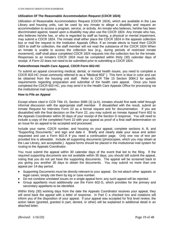# **Utilization Of The Reasonable Accommodation Request (CDCR 1824)**

Utilization of Reasonable Accommodation Request (CDCR 1824), which are available in the Law Library and housing units, can be used by any inmate to allege a disability and request an accommodation to access a program, service, or activity. An inmate who believes, he/she has been discriminated against, based upon a disability may also use the CDCR 1824. Any inmate who has, who believes he/she has, or who is regarded by staff as having, a physical or mental impairment, may submit a CDCR 1824. The inmate shall either place the CDCR 1824 in the appeals collection box or mail the request to the Institution Appeals Office. If an inmate elects to hand their CDCR 1824 to staff for collection, the staff member will not read the substance of the CDCR 1824 When an inmate is unable to access the collection box (e.g., during periods of restricted inmate movement), staff shall place completed CDCR 1824 requests into the collection box for the inmate. Responses to an inmate's CDCR 1824 must be completed within thirty (30) calendar days of receipt. A Form 22 does not need to be submitted prior to submitting a CDCR 1824.

### **Patient/Inmate Health Care Appeal, CDCR Form 602-HC**

To submit an appeal concerning medical, dental, or mental health issues, you need to complete a CDCR 602-HC (most commonly referred to as a "Medical 602".) This form is blue in color and can be obtained from the housing unit staff. Refer to CCR Title 15 Section 3084.2 for specific requirements regarding preparation and submittal of the health care appeal. Once you have completed the CDCR 602-HC, you may send it to the Health Care Appeals Office for processing via the institutional mail system.

#### **How to File an Appeal**

Except where cited in CCR Title 15, Section 3085 (3) (a-h), inmates should first seek relief through informal discussion with the appropriate staff member. If dissatisfied with the result, submit an Inmate Request for Interview Form 22 as a formal request and for documentation. If you are dissatisfied with the final decision on the Form 22, you may submit an Inmate Appeal Form 602 to the Appeals Coordinator within 30 days of your receipt of the Section D response. You will need to include a copy of the completed Form 22 with your appeal as proof of a final staff determination on an issue for an appeal to be accepted and processed.

Include your name, CDCR number, and housing on your appeal, complete sections A, B, and "Supporting Documents," and sign and date it. Briefly and clearly state your issue and action requested and use a Form 602-A if you need a continuation page. Only one row of text per provided line is allowable. Include all supporting documents (photocopies, which you may obtain at the Law Library, are acceptable.) Appeal forms should be placed in the institutional mail system for routing to the Appeals Coordinator.

You must submit the appeal within 30 calendar days of the event that led to the filing. If the required supporting documents are not available within 30 days, you should still submit the appeal, noting that you do not yet have the supporting documents. The appeal will be screened back to you giving you another 30 days to obtain the documents. You may submit no more than one appeal per 14-day period.

- ♦ Supporting Documents must be directly relevant to your appeal. Do not attach other appeals or legal cases; simply cite them by log or case number.
- ♦ Do not combine unrelated issues on a single appeal form; any such appeal will be rejected.
- ♦ Group appellants must additionally use the Form 602-G, which provides for the primary and secondary appellants to be identified.

Within thirty (30) working days from the date the Appeals Coordinator receives your appeal, they will send back the appeal with a letter of response. In Part C a checked box and notations will inform you of the disposition of your appeal. If your appeal was accepted for first level review, the action taken (granted, granted in part, denied, or other) will be explained in additional detail in an attached letter.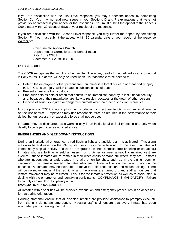If you are dissatisfied with the First Level response, you may further the appeal by completing Section D. You may not add new issues in your Sections D and F explanations that were not previously addressed in your appeal or the responses. You must submit the appeal to the Appeals Coordinator within 30 calendar days of your receipt of the response.

If you are dissatisfied with the Second Level response, you may further the appeal by completing Section F. You must submit the appeal within 30 calendar days of your receipt of the response via mail to:

> Chief, Inmate Appeals Branch Department of Corrections and Rehabilitation P.O. Box 942883 Sacramento, CA 94283-0001

# **USE OF FORCE**

The CDCR recognizes the sanctity of human life. Therefore, deadly force, defined as any force that is likely to result in death, will only be used when it is reasonable force needed to:

- ♦ Defend the employee or other persons from an immediate threat of death or great bodily injury (GBI). GBI is an injury, which creates a substantial risk of death.
- ♦ Prevent an escape from custody.
- ♦ Stop such acts as riots or arson that constitute an immediate jeopardy to institutional security and, because of their magnitude, are likely to result in escapes or the death of other persons.
- ♦ Dispose of seriously injured or dangerous animals when no other disposition is practical.

It is the policy of CDCR to accomplish the custodial and correctional functions with minimal reliance on the use of force. Employees may use reasonable force as required in the performance of their duties, but unnecessary or excessive force shall not be used.

Firearms may be discharged as a warning only in an institutional or facility setting and only when deadly force is permitted as outlined above.

# **EMERGENCIES AND "GET DOWN" INSTRUCTIONS**

During an institutional emergency, a red flashing light and audible alarm is activated. This alarm may also be addressed on the PA, by staff yelling, or whistle blowing. In this event, inmates will immediately stop all activity and sit on the ground on their buttocks (**not** kneeling or squatting.) Inmates who are fulltime wheelchair users , on crutches or wear a mobility impaired vest are exempt – these inmates are to remain in their wheelchairs or stand still where they are. Inmates who are indoors and already seated in chairs or on benches, such as in the dining room, or classroom, may remain seated. Inmates who are outside will sit on the ground, **not** on the benches. All inmates may be instructed to move to a different location and resume sitting. There will be no movement until the red lights and the alarms are turned off, and staff announces that inmate movement may be resumed. This is for the inmate's protection as well as to assist staff in dealing with the emergency and identifying participants. COMPLIANCE IS MANDATORY. Failure to comply can result in disciplinary action.

# **EVACUATION PROCEDURES**

All inmates with disabilities will be provided evacuation and emergency procedures in an accessible format during orientation.

Housing staff shall ensure that all disabled inmates are provided assistance to promptly evacuate from the unit during an emergency. Housing staff shall ensure that every inmate has been evacuated prior to leaving the unit.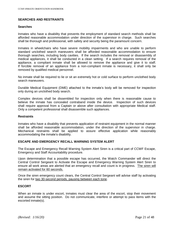# **SEARCHES AND RESTRAINTS**

#### **Searches**

Inmates who have a disability that prevents the employment of standard search methods shall be afforded reasonable accommodation under direction of the supervisor in charge. Such searches shall be thorough and professional, with safety and security being the paramount concern.

Inmates in wheelchairs who have severe mobility impairments and who are unable to perform standard unclothed search maneuvers shall be afforded reasonable accommodation to ensure thorough searches, including body cavities. If the search includes the removal or disassembly of medical appliances, it shall be conducted in a clean setting. If a search requires removal of the appliance, a compliant inmate shall be allowed to remove the appliance and give it to staff. If forcible removal of an appliance from a non-compliant inmate is necessary, it shall only be removed by qualified medical personnel.

No inmate shall be required to lie or sit an extremely hot or cold surface to perform unclothed body search maneuvers.

Durable Medical Equipment (DME) attached to the inmate's body will be removed for inspection only during an unclothed body search.

Complex devices shall be dissembled for inspection only when there is reasonable cause to believe the inmate has concealed contraband inside the device. Inspection of such devices shall require approval from a Captain or above after consultation with appropriate Medical staff. Only a competent professional shall disassemble such appliances.

#### **Restraints**

Inmates who have a disability that prevents application of restraint equipment in the normal manner shall be afforded reasonable accommodation, under the direction of the supervisor in charge. Mechanical restraints shall be applied to assure effective application while reasonably accommodating the inmate's disability.

#### **ESCAPE AND EMERGENCY RECALL WARNING SYSTEM ALERT**

The Escape and Emergency Recall Warning System Alert Siren is a critical part of CCWF Escape, Emergency and Staff Accountability procedure.

Upon determination that a possible escape has occurred, the Watch Commander will direct the Central Control Sergeant to Activate the Escape and Emergency Warning System Alert Siren to ensure all work areas are alerted that an emergency recall and count is in progress. The siren will remain activated for 60 seconds.

Once the siren emergency count clears, the Central Control Sergeant will advise staff by activating the siren for two 30-second periods, pausing between each tone.

#### **ESCORT**

When an inmate is under escort, inmates must clear the area of the escort, stop their movement and assume the sitting position. Do not communicate, interfere or attempt to pass items with the escorted inmate(s).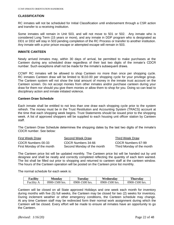#### **CLASSIFICATION**

RC inmates will not be scheduled for Initial Classification until endorsement through a CSR action and transfer to a receiving institution.

Some inmates will remain in Unit 503, and will not move to 501 or 502. Any inmate who is considered Long Term (15 years or more), and any inmate in DDP program who is designated as DD1 or DD2 will stay in 503 pending completion of the RC Process or transfer to another institution. Any inmate with a prior prison escape or attempted escape will remain in 503.

#### **INMATE CANTEEN**

Newly arrived inmates may, within 30 days of arrival, be permitted to make purchases at the Canteen during any scheduled draw regardless of their last two digits of the inmate's CDCR number. Such exceptions shall not be made for the inmate's subsequent draws.

CCWF RC inmates will be allowed to shop Canteen no more than once per shopping cycle. RC inmates Canteen draw will be limited to \$110.00 per shopping cycle for your privilege group. The Canteen system will not show the total amount of money in the inmate trust account on the Canteen screen. Do not accept monies from other inmates and/or purchase canteen during your draw for them nor should you give them monies or allow them to shop for you. Doing so can lead to disciplinary action and inmate initiated violence.

#### **Canteen Draw Schedule**

Each inmate shall be entitled to not less than one draw each shopping cycle prior to the system refresh. The money must be in the Trust Restitution and Accounting System (TRACS) account at the time that each shopping week begins. Trust Statements should be issued prior to the shopping week. A list of approved shoppers will be supplied to each housing unit officer station by Canteen staff.

The Canteen Draw Schedule determines the shopping dates by the last two digits of the inmate's CDCR number. See below:

| <b>First Week Draw</b>    | Second Week Draw           | Third Week Draw           |
|---------------------------|----------------------------|---------------------------|
| CDCR Numbers 00-33        | CDCR Numbers 34-66         | CDCR Numbers 67-99        |
| First Monday of the month | Second Monday of the month | Third Monday of the month |

The Canteen price list will be updated monthly. The Canteen price list will be handed out by unit designee and shall be neatly and correctly completed reflecting the quantity of each item wanted. The list shall be filled out prior to shopping and returned to canteen staff at the canteen window. The hours of the Canteen operation will be posted on the Canteen price list monthly.

The normal schedule for each week is:

| Facility | <b>Monday</b>  | Tuesday        | Wednesday      | <b>Thursday</b> |
|----------|----------------|----------------|----------------|-----------------|
| Facility | 0900-1500 hrs. | 0900-1500 hrs. | 0900-1500 hrs. | 0900-1500 hrs.  |

Canteen will be closed on all State approved Holidays and one week each month for inventory during months with five (5) full weeks, the Canteen may be closed for two (2) weeks for inventory. During inclement weather or other emergency conditions, the Canteen schedule may change. At any time Canteen staff may be redirected form their normal work assignment during which the Canteen will be closed. Every effort will be made to ensure all inmates have an opportunity to go the Canteen.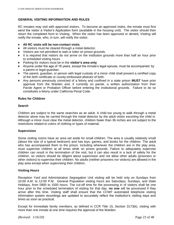# **GENERAL VISITING INFORMATION AND RULES**

RC inmates may visit with approved visitors. To become an approved visitor, the inmate must first send the visitor a Visitor's Application form (available in the housing unit). The visitor should then return the completed form to Visiting. When the visitor has been approved or denied, Visiting will notify the inmate, who, in turn, will notify the visitor.

### ♦ **All RC visits will be non-contact visits.**

- ♦ All visitors must be cleared through a metal detector.
- Visitors are not permitted to wait or loiter on prison grounds.
- ♦ It is required that visitors do not arrive on the institution grounds more than half an hour prior to scheduled visiting hours.
- ♦ Parking for visitors must be in the **visitor's area only**.
- ♦ Anyone under the age of 18 years, except the inmate's legal spouse, must be accompanied by a parent or legal guardian.
- ♦ The parent, guardian, or person with legal custody of a minor child shall present a certified copy of the birth certificate or county-embossed abstract of birth.
- ♦ Any persons previously convicted of a felony and confined in a state prison **MUST** have prior approval from the Warden and, if currently on parole, a written authorization from their Parole Agent or Probation Officer before entering the institutional grounds. Failure to do so constitutes a felony under California Penal Code.

### **Rules for Children**

### **Search**

Children are subject to the same searches as an adult. A child too young to walk through a metal detector alone may be carried through the metal detector by the adult visitor escorting the child in. Although a minor must clear the metal detector, children fewer than 36 inches are not subject to the restrictions related to colors of clothing or types of material.

#### **Supervision**

Some visiting rooms have an area set aside for small children. The area is usually relatively small (about the size of a typical bedroom) and has toys, games, and books for the children. The adult who has accompanied them to the prison, including whenever the children are in the play area, must supervise children at all times while on prison grounds. Failure to adequately supervise children can result in the termination of the visit, but it can also result in a lack of safety for the children, so visitors should be diligent about supervision and not allow other adults (prisoners or other visitors) to supervise their children. No adults (neither prisoners nor visitors) are allowed in the play area except when supervising their children.

# **Visiting Hours**

Reception Yard and Administrative Segregation Unit visiting will be held only on Sundays from 10:00 A.M. to 12:00 P.M. General Population visiting hours are Saturdays, Sundays, and State Holidays, from 0900 to 1500 hours. The cut-off time for the processing in of visitors shall be one hour prior to the scheduled termination of visiting for that day; **no one** will be processed if they arrive after this time. Visiting staff shall ensure that the CCWF automated telephone visiting information system recordings are updated to accurately reflect the institution's visiting days and times as soon as practical.

Except for immediate family members, as defined in CCR Title 15, Section 3173(k), visiting with more than one inmate at one time requires the approval of the Warden.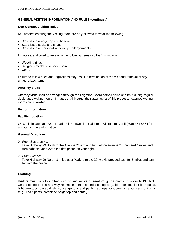# **GENERAL VISITING INFORMATION AND RULES (continued)**

# **Non-Contact Visiting Rules**

RC inmates entering the Visiting room are only allowed to wear the following:

- ◆ State issue orange top and bottom
- ♦ State issue socks and shoes
- ♦ State issue or personal white-only undergarments

Inmates are allowed to take only the following items into the Visiting room:

- $\triangleleft$  Wedding rings
- ♦ Religious medal on a neck chain
- $\triangle$  Comb

Failure to follow rules and regulations may result in termination of the visit and removal of any unauthorized items.

### **Attorney Visits**

Attorney visits shall be arranged through the Litigation Coordinator's office and held during regular designated visiting hours. Inmates shall instruct their attorney(s) of this process. Attorney visiting rooms are available.

### **Visitor Information:**

#### **Facility Location**

CCWF is located at 23370 Road 22 in Chowchilla, California. Visitors may call (800) 374-8474 for updated visiting information.

#### **General Directions**

*From Sacramento:*

Take Highway 99 South to the Avenue 24 exit and turn left on Avenue 24; proceed 4 miles and turn right on Road 22 to the first prison on your right.

*From Fresno:*

Take Highway 99 North, 3 miles past Madera to the 20 ½ exit; proceed east for 3 miles and turn left into the prison.

# **Clothing**

Visitors must be fully clothed with no suggestive or see-through garments. Visitors **MUST NOT**  wear clothing that in any way resembles state issued clothing (e.g., blue denim, dark blue pants, light blue tops, baseball shirts, orange tops and pants, red tops) or Correctional Officers' uniforms (e.g., khaki pants, combined beige top and pants.)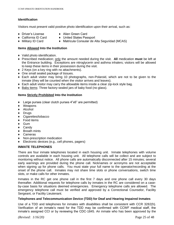# **Identification**

Visitors must present valid positive photo identification upon their arrival, such as:

- 
- ♦ Driver's License ♦ Alien Green Card
- 
- 
- ♦ California ID Card ♦ United States Passport
- ♦ Military ID Card ♦ Matricula Consular de Alta Seguridad (MCAS)

# **Items Allowed Into the Institution**

- ♦ Valid photo identification.
- ♦ Prescribed medication; only the amount needed during the visit. **All** medication **must** be left at the Entrance building. Exceptions are nitroglycerin and asthma inhalers; visitors will be allowed to keep these items in their possession during the visit.
- ♦ 2 Keys (on a key ring with no attachments).
- ♦ One small sealed package of tissues.
- ♦ Each adult visitor may bring 10 photographs, non-Polaroid, which are not to be given to the inmate (they will be counted when the visitor arrives and leaves).
- ♦ Each adult visitor may carry the allowable items inside a clear zip-lock style bag.
- ♦ Baby items: Three factory-sealed jars of baby food (no glass).

# **Items Strictly Prohibited Into the Institution**

- ♦ Large purses (clear clutch purses 4"x6" are permitted)
- ♦ Weapons
- ♦ Alcohol
- ♦ Drugs
- ♦ Cigarettes/tobacco
- ♦ Food items
- $\triangleleft$  Gum
- ♦ Candy
- ♦ Breath mints
- ♦ Cameras
- Non-prescription medication
- Electronic devices (e.g., cell phones, pagers)

# **INMATE TELEPHONES**

There are four inmate telephones located in each housing unit. Inmate telephones with volume controls are available in each housing unit. All telephone calls will be collect and are subject to monitoring without notice. All phone calls are automatically disconnected after 15 minutes; several early warnings are provided during the phone call. Nicknames or acronyms are not acceptable when signing up for phone calls. You must state your full name to the operator/recording at the onset of the phone call. Inmates may not share time slots or phone conversations, switch time slots, or make calls for other inmates.

Inmates in the RC get one phone call in the first 7 days and one phone call every 30 days thereafter. Additional requests for telephone calls by inmates in the RC are considered on a caseby-case basis for situations deemed emergencies. Emergency telephone calls are allowed. The emergency telephone call must be verified and approved by a Correctional Counselor, Facility Sergeant, or Facility Lieutenant.

#### **Telephones and Telecommunication Device (TDD) for Deaf and Hearing Impaired Inmates**

Use of a TDD and telephones for inmates with disabilities shall be consistent with CCR 3282(h). Verification of an inmate's need for the TDD may be confirmed with CCWF medical staff, the inmate's assigned CCI or by reviewing the CDC-1845. An inmate who has been approved by the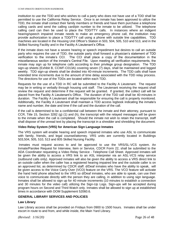institution to use the TDD and who wishes to call a party who does not have use of a TDD shall be permitted to use the California Relay Service. Once is an inmate has been approved to utilize the TDD, the inmate shall contact their family members or friends and have them purchase a telephone calling cards and send the calling card/pin number to the inmate to be utilized. The telephone calling card can then be used to place the TDD/TTY calls. In instances where an indigent hearing/speech impaired inmate needs to make an emergency phone call, the institution may provide authorization to place a TDD/TTY call using a phone with outside line capabilities. TDD machines are located in the Housing Unit Officer's Station in 503, 504, 505, 510 and 513, and in the Skilled Nursing Facility and in the Facility A Lieutenant's Office.

If the inmate does not have a severe hearing or speech impediment but desires to call an outside party who requires the use of TDD, the outside party shall forward a physician's statement of TDD verification to the inmate's CCI. The CCI shall place a copy of the documentation in the miscellaneous section of the inmate's Central File. Upon meeting all verification requirements, the inmate may sign up for telephone calls according to their privilege group designation. The TDD sign-up sheets (Exhibit B, CCWF-C013A) covering seven (7) days, shall be maintained and logged weekly. TDD sign-up sheets shall be divided into 40-minute increments. The TDD calls shall have extended time increments due to the amount of time delay associated with the TDD relay process. The directions for use of the TDDs are located within each TDD.

Requests for the use of a TDD in RC will be submitted to the Facility A Lieutenant. The request may be in writing or verbally through housing unit staff. The Lieutenant receiving the request shall review the request and determine if the request will be granted. If granted, the collect call will be placed from the Facility A Lieutenant's Office. The duration of the TDD call shall be 40-minutes in duration. The Facility A Lieutenant shall be responsible for ensuring the call is properly monitored. Additionally, the Facility A Lieutenant shall maintain a TDD access logbook indicating the inmate's name and number, the date and time if the call and the duration of the call.

If the call is determined to be a confidential call between the inmate and their attorney, pursuant to CCR, Title 15, Section 3282 (g) (1) and (h), the transcript with the relayed messages will be given to the inmate when the call is completed. Should the inmate not wish to retain the transcript, staff shall dispose of the unread text by placing the transcript in a shredder and shredding the document.

# **Video Relay System (VRS) for American Sign Language Inmates**

The VRS system will enable hearing and speech impaired inmates who use ASL to communicate with family, friends, and legal counsel/attorney. VRS units are currently located in Buildings 503,504, 505, 510, 513 and 805 Skilled Nursing Facility.

Inmates must request access to and be approved to use the VRS/SL-VCS system. An Inmate/Parolee Request for Interview, Item or Service, CDCR Form 22, shall be submitted to the ADA Coordinator requesting a Video Relay Service - Telephone Call Sheet. Approved inmates will be given the ability to access a VRS link to an ASL interpreter via an ASL-VCS relay service (outbound calls only). Approved inmates will also be given the ability to access a VRS direct link to an outside caller when the caller has a registered hearing impaired line and the outside caller is on an approved list, as determined by CDCR staff. d/Deaf inmates who have the ability to speak, will be given access to the Voice Carry-Over (VCO) feature on the VRS. The VCO feature will activate the hand held phone attached to the VRS so d/Deaf inmates, who are able to speak, can use their voice to communicate directly with the person they are calling, in addition to using sign language. Inmates shall be allowed to sign up for 40 minute increments (10 minutes to establish a connection and 30 minutes for the video call) utilizing the Sign-Up Logs. Sign-ups will be accepted during program hours on Second and Third Watch only. Inmates shall be allowed to sign up at established times in accordance with DOM Supplement 52060.6.

# **GENERAL LIBRARY SERVICES AND POLICIES**

# **Law Library**

Law Library access shall be provided on Fridays from 0900 to 1500 hours. Inmates shall be under escort in route to and from, and while inside, the Main Yard Library.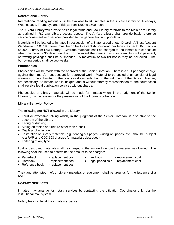#### **Recreational Library**

Recreational reading materials will be available to RC inmates in the A Yard Library on Tuesdays, Wednesdays, Thursdays and Fridays from 1200 to 1500 hours.

The A Yard Library will provide basic legal forms and Law Library referrals to the Main Yard Library as outlined in RC Law Library access above. The A Yard Library shall provide basic reference service consistent with services provided to the general housing population.

Materials will be loaned to inmates in possession of a State-issued photo ID card. A Trust Account Withdrawal (CDC 193) form, must be on file to establish borrowing privileges, as per DOM, Section 53060, "Library or Law Library." Overdue materials shall be charged to the inmate's trust account when the book is 30 days overdue. In the event the inmate has insufficient funds for payment, borrowing privileges shall be suspended. A maximum of two (2) books may be borrowed. The borrowing period shall be two weeks.

### **Photocopies**

Photocopies will be made with the approval of the Senior Librarian. There is a 10¢ per page charge against the inmate's trust account for approved work. Material to be copied shall consist of legal materials to be submitted to the courts or documents that, in the judgment of the Senior Librarian, are necessary. An inmate who is indigent and is without attorney representation for the court action shall receive legal duplication services without charge.

Photocopies of Library materials will be made for inmates when, in the judgment of the Senior Librarian, it is necessary for the preservation of the Library's collection.

### **Library Behavior Policy**

The following are **NOT** allowed in the Library:

- ♦ Loud or excessive talking which, in the judgment of the Senior Librarian, is disruptive to the decorum of the Library
- ♦ Eating or drinking
- ♦ Sitting on tables or furniture other than a chair
- ♦ Displays of affection
- ♦ Destruction of Library materials (e.g., tearing out pages, writing on pages, etc.; shall be subject to a RVR and CDC 193 charges for materials destroyed)
- ♦ Loitering of any type

Lost or destroyed materials shall be charged to the inmate to whom the material was loaned. The following shall be used to determine the amount to be charged:

- ◆ Paperback replacement cost → Law book replacement cost
	-
- ♦ Hardback replacement cost ♦ Legal periodicals replacement cost
- ◆ Reference book replacement cost

Theft and attempted theft of Library materials or equipment shall be grounds for the issuance of a RVR.

# **NOTARY SERVICES**

Inmates may arrange for notary services by contacting the Litigation Coordinator only, via the institutional mail system.

Notary fees will be at the inmate's expense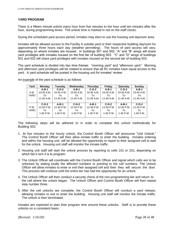# **YARD PROGRAM**

There is a fifteen minute unlock every hour from five minutes to the hour until ten minutes after the hour, during programming times. The unlock time is marked in red on the staff clocks.

During the scheduled yard access period, inmates may elect to use the housing unit dayroom area.

Inmates will be allowed access to the Facility A outside yard or their respective building dayroom for approximately three hours each day (weather permitting). The hours of yard access will vary, depending on where inmates are housed. In buildings 501 and 502, "A" and "B" wings will share yard privileges with inmates housed on the first tier of building 503. "C" and "D" wings of buildings 501 and 502 will share yard privileges with inmates housed on the second tier of building 503.

The yard schedule is divided into two time frames: "morning yard" and "afternoon yard." Morning and afternoon yard privileges will be rotated to ensure that all RC inmates have equal access to the yard. A yard schedule will be posted in the housing unit for inmates' review.

| Yard | <b>Monday</b> | Tuesday     | Wednesdav  | Thursday     | Friday     | <b>Saturday</b> | Sunday       |
|------|---------------|-------------|------------|--------------|------------|-----------------|--------------|
|      | $A-B-1$       | $C-D-2$     | $A-B-1$    | $C-D-2$      | $A-B-1$    | $C-D-2$         | $A-B-1$      |
| A.M. | 10:45 A.M.    | 10:45 A.M.  | 10:45 A.M. | 10:45 A.M.   | 10:45 A.M. | 10:45 A.M.      | 10:45 A.M.   |
| YARD | To            | To          | To         | Тο           | To         | Т٥              | To           |
|      | 11:45 A.M.    | 11:45 A.M.  | 11:45 A.M. | $11:45$ A.M. | 11:45 A.M. | $11:45$ A.M.    | $11:45$ A.M. |
|      |               |             |            |              |            |                 |              |
|      | $C-D-2$       | $A-B-1$     | $C-D-2$    | $A-B-1$      | $C-D-2$    | $A-B-1$         | $C-D-2$      |
| P.M. | 12:45 P.M.    | 12:45 P.M.  | 12:45 P.M. | 12:45 P.M.   | 12:45 P.M. | 12:45 P.M.      | 12:45 P.M.   |
| YARD | To            | To          | To         | To           | To         | Т٥              | To           |
|      | $1:45$ P.M.   | $1:45$ P.M. | $1:45$ P.M | $1:45$ P.M   | $1:45$ P.M | $1:45$ P.M.     | $1:45$ P.M.  |
|      |               |             |            |              |            |                 |              |

An example of the yard schedule is as follows:

The following steps will be adhered to in order to complete this unlock methodically for Building 503:

- 1. At five minutes to the hourly unlock, the Control Booth Officer will announce "Unit Unlock." The Control Booth Officer will then allow inmate traffic to enter the building. Inmates entering and within the housing unit, will be allowed the opportunity to report to their assigned cell to wait for the unlock. Housing unit staff will monitor the inmate traffic.
- 2. Housing unit staff will start the unlock process by reporting to cells 101 or 201, depending on which tier's turn it is to program.
- 3. The Unlock Officer will coordinate with the Control Booth Officer and signal which cells are to be unlocked by stating loudly the affected numbers or pointing to the cell numbers. The Unlock Officer will allow inmates to enter or exit their assigned cell and then they will secure the door. This process will continue until the entire tier has had the opportunity for an unlock.
- 4. The Unlock Officer will then conduct a security check of the non-programming tier and return to the cell where the unlock began. The Unlock Officer and Control Booth Officer will then repeat step number three.
- 5. After the cell unlocks are complete, the Control Booth Officer will conduct a yard release, allowing inmates to exit or enter the building. Housing unit staff will monitor the inmate traffic. The unlock is then terminated.

Inmates are expected to plan their program time around these unlocks. Staff is to provide these unlocks on a consistent basis.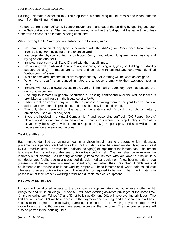Housing unit staff is expected to utilize step three in conducting all unit recalls and when inmates return from the dining hall meals.

The 503 Control Booth Officer will control movement in and out of the building by opening one door of the Sallyport at a time. Staff and inmates are not to utilize the Sallyport at the same time unless a controlled escort of an inmate is being conducted.

While utilizing the RC yard, you are subject to the following rules:

- ♦ No communication of any type is permitted with the Ad-Seg or Condemned Row inmates from Building 504, including on the exercise yard.
- Inappropriate physical contact is prohibited (e.g., handholding, long embraces, kissing and laying on one another.)
- Inmates must carry their State ID card with them at all times.
- No loitering will be allowed in front of any doorway, housing unit, gate, or Building 702 (facility support building). Inmates are to note and comply with painted and otherwise identified "out-of-bounds" areas.
- While on the yard, inmates must dress appropriately. All clothing will be worn as designed.
- When "yard recall" is announced inmates are to report promptly to their assigned housing units.
- Inmates will not be allowed access to the yard until their cell or dormitory room has passed the daily unit inspection.
- Shouting to inmates in general population or passing contraband over the wall or fences is prohibited and will result in the issuance of a RVR.
- Hiding Canteen items of any kind with the purpose of taking them to the yard to give, pass or sell to another inmate is prohibited, and these items will be confiscated.
- The only items permitted on the yard is the state-issued ID card. No photos, letters, envelopes (used or unused) at all.
- If you are involved in a Mutual Combat (fight) and responding staff yell, "OC Pepper Spray," blow a whistle, or otherwise sound an alarm, that is your warning to stop fighting immediately or you may be sprayed with Oleoresin Capsicum (OC) Pepper Spray and staff will use the necessary force to stop your actions.

# **Yard Identification**

Each inmate identified as having a hearing or vision impairment to a degree which influences placement or is pending verification as DPH or DPV status shall be issued an identifying yellow vest by R&R medical staff. The vest shall indicate the type(s) of impairment the inmate has. The inmate is to wear their issued vest whenever outside their bed or cell. The vest shall be worn over the inmate's outer clothing. All hearing or visually impaired inmates who are able to function in a non-designated facility due to a prescribed durable medical equipment (e.g., hearing aids or eye glasses) shall be temporarily issued an identifying vest when their prescribed durable medical equipment is not available or is not working properly. These inmates shall wear their issued vest whenever they are outside their cell. The vest is not required to be worn when the inmate is in possession of their properly working prescribed durable medical equipment.

# **DAYROOM PROGRAM**

Inmates will be allowed access to the dayroom for approximately two hours every other night. Wings "A" and "B" in buildings 501 and 502 will have evening dayroom privileges at the same time. On the following day, Wings "C" and "D" of buildings 501 and 502 will have evening privileges. The first tier in building 503 will have access to the dayroom one evening, and the second tier will have access to the dayroom the following evening. The hours of the evening dayroom program will rotate to ensure that RC inmates have equal access to the dayroom. The dayroom schedule will also be posted in the housing units.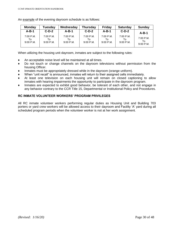| <b>Monday</b>                     | <b>Tuesday</b>                 | Wednesday                        | <b>Thursday</b>                | <b>Friday</b>                    | <b>Saturday</b>                  | Sunday                           |
|-----------------------------------|--------------------------------|----------------------------------|--------------------------------|----------------------------------|----------------------------------|----------------------------------|
| $A-B-1$                           | $C-D-2$                        | $A-B-1$                          | $C-D-2$                        | $A-B-1$                          | $C-D-2$                          | $A-B-1$                          |
| $7:00$ P.M.<br>To:<br>$9:00$ P.M. | 7:00 P.M.<br>To<br>$9:00$ P.M. | $7:00$ P.M.<br>To<br>$9:00$ P.M. | 7:00 P.M.<br>Т٥<br>$9:00$ P.M. | $7:00$ P.M.<br>Т٥<br>$9:00$ P.M. | $7:00$ P.M.<br>Т٥<br>$9:00$ P.M. | $7:00$ P.M.<br>To<br>$9:00$ P.M. |

An example of the evening dayroom schedule is as follows:

When utilizing the housing unit dayroom, inmates are subject to the following rules:

- ♦ An acceptable noise level will be maintained at all times.
- ♦ Do not touch or change channels on the dayroom televisions without permission from the housing Officer.
- Inmates must be appropriately dressed while in the dayroom (orange uniform).
- When "unit recall" is announced, inmates will return to their assigned cells immediately.
- At least one television on each housing unit will remain on closed captioning to allow inmates with hearing impairments the opportunity to participate in the dayroom program.
- Inmates are expected to exhibit good behavior, be tolerant of each other, and not engage in any behavior contrary to the CCR Title 15, Departmental or Institutional Policy and Procedures.

# **RC INMATE VOLUNTEER WORKERS' PROGRAM PRIVILEGES**

All RC inmate volunteer workers performing regular duties as Housing Unit and Building 703 porters or yard crew workers will be allowed access to their dayroom and Facility 'A' yard during all scheduled program periods when the volunteer worker is not at her work assignment.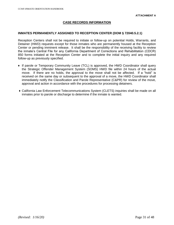# **CASE RECORDS INFORMATION**

#### **INMATES PERMANENTLY ASSIGNED TO RECEPTION CENTER (DOM § 72040.5.2.1)**

Reception Centers shall not be required to initiate or follow-up on potential Holds, Warrants, and Detainer (HWD) requests except for those inmates who are permanently housed at the Reception Center or pending imminent release. It shall be the responsibility of the receiving facility to review the inmate's Central File for any California Department of Corrections and Rehabilitation (CDCR) 850 forms initiated at the Reception Center and to complete the initial inquiry and any required follow-up as previously specified.

- ♦ If parole or Temporary Community Leave (TCL) is approved, the HWD Coordinator shall query the Strategic Offender Management System (SOMS) HWD file within 24 hours of the actual move. If there are no holds, the approval to the move shall not be affected. If a "hold" is received on the same day or subsequent to the approval of a move, the HWD Coordinator shall immediately notify the Classification and Parole Representative (C&PR) for review of the move, approval and action in accordance with the procedures for processing detainers.
- ♦ California Law Enforcement Telecommunications System (CLETS) inquiries shall be made on all inmates prior to parole or discharge to determine if the inmate is wanted.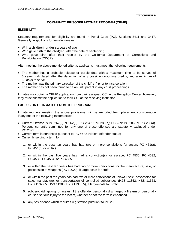# **COMMUNITY PRISONER MOTHER PROGRAM (CPMP)**

#### **ELIGIBILITY**

Statutory requirements for eligibility are found in Penal Code (PC), Sections 3411 and 3417. Generally, eligibility is for female inmates:

- ♦ With a child(ren) **under** six years of age
- $\bullet$  Who gave birth to the child(ren) after the date of sentencing
- ♦ Who gave birth after their receipt by the California Department of Corrections and Rehabilitation (CDCR)

After meeting the above-mentioned criteria, applicants must meet the following requirements:

- ♦ The mother has a probable release or parole date with a maximum time to be served of 6 years, calculated after the deduction of any possible good-time credits, and a minimum of 60 days to serve
- $\bullet$  The mother was the primary caretaker of the child(ren) prior to incarceration
- ♦ The mother has not been found to be an unfit parent in any court proceedings

Inmates may obtain a CPMP application from their assigned CCI in the Reception Center; however, they must submit the application to their CCI at the receiving institution.

# **EXCLUSION OF INMATES FROM THE PROGRAM**

Inmate mothers meeting the above provisions, will be excluded from placement consideration if any one of the following factors exists:

- ♦ Current Offense is PC 262(2) or 262(3); PC 264.1; PC 288(b); PC 289; PC 286; or PC 288(a). Persons currently committed for any one of these offenses are statutorily excluded under PC 2691
- ♦ Current term is enhanced pursuant to PC 667.5 (violent offender status)
- ♦ Currently serving a term for:
	- 1. or within the past ten years has had two or more convictions for arson; PC 451(a), PC 451(b) or 451(c)
	- 2. or within the past five years has had a conviction(s) for escape; PC 4530, PC 4532, PC 4533, PC 4534, or PC 4535
	- 3. or within the past ten years has had two or more convictions for the manufacture, sale, or possession of weapons (PC 12020), if large-scale for profit
	- 4. or within the past ten years has had two or more convictions of unlawful sale, possession for sale, manufacture, or transportation of controlled substances (H&S 11352, H&S 11353, H&S 11379.5, H&S 11380, H&S 11380.5), if large-scale for profit
	- 5. robbery, kidnapping, or assault if the offender personally discharged a firearm or personally caused serious injury to the victim, whether or not the term is enhanced
	- 6. any sex offense which requires registration pursuant to PC 290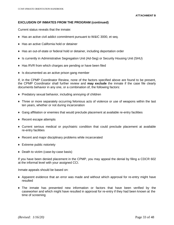#### **EXCLUSION OF INMATES FROM THE PROGRAM (continued)**

Current status reveals that the inmate:

- ♦ Has an active civil addict commitment pursuant to W&IC 3000, et seq.
- ♦ Has an active California hold or detainer
- ♦ Has an out-of-state or federal hold or detainer, including deportation order
- ♦ Is currently in Administrative Segregation Unit (Ad-Seg) or Security Housing Unit (SHU)
- ♦ Has RVR from which charges are pending or have been filed
- ♦ Is documented as an active prison gang member

If, in the CPMP Coordinator Review, none of the factors specified above are found to be present, the CPMP Coordinator shall further review and **may exclude** the inmate if the case file clearly documents behavior in any one, or a combination of, the following factors:

- ♦ Predatory sexual behavior, including annoying of children
- ♦ Three or more separately occurring felonious acts of violence or use of weapons within the last ten years, whether or not during incarceration
- ♦ Gang affiliation or enemies that would preclude placement at available re-entry facilities
- ♦ Recent escape attempts
- ♦ Current serious medical or psychiatric condition that could preclude placement at available re-entry facilities
- ♦ Recent and major disciplinary problems while incarcerated
- ♦ Extreme public notoriety
- ♦ Death to victim (case-by-case basis)

If you have been denied placement in the CPMP, you may appeal the denial by filing a CDCR 602 at the informal level with your assigned CCI.

Inmate appeals should be based on:

- ♦ Apparent evidence that an error was made and without which approval for re-entry might have resulted
- ♦ The inmate has presented new information or factors that have been verified by the caseworker and which might have resulted in approval for re-entry if they had been known at the time of screening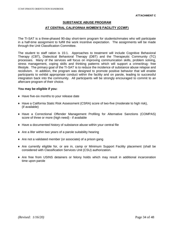#### **SUBSTANCE ABUSE PROGRAM**

#### **AT CENTRAL CALIFORNIA WOMEN'S FACILITY (CCWF)**

The TI-SAT is a three-phased 90-day short-term program for students/inmates who will participate in a half-time assignment to fulfill the work incentive expectation. The assignments will be made through the Unit Classification Committee.

The student to staff ration is 15:1. Approaches to treatment will include Cognitive Behavioral Therapy (CBT), Dialectical Behavioral Therapy (DBT) and the Therapeutic Community (TC) processes. Many of the services will focus on improving communication skills, problem solving, stress management, coping skills and thinking patterns which will support a crime/drug- free lifestyle. The primary goal of the TI-SAT is to reduce the incidence of substance abuse relapse and recidivism. In addition, the program was designed to promote positive behavior that will enable participants to exhibit appropriate conduct within the facility and on parole, leading to successful integration back into the community. All participants will be strongly encouraged to commit to an aftercare program of their choice.

#### **You may be eligible if you:**

- ♦ Have five-six months to your release date
- ♦ Have a California Static Risk Assessment (CSRA) score of two-five (moderate to high risk), (if available)
- ♦ Have a Correctional Offender Management Profiling for Alternative Sanctions (COMPAS) score of three or more (high need) - if available
- ♦ Have a documented history of substance abuse within your central file
- ♦ Are a lifer within two years of a parole suitability hearing
- ♦ Are not a validated member (or associate) of a prison gang
- ♦ Are currently eligible for, or are in, camp or Minimum Support Facility placement (shall be considered with Classification Services Unit (CSU) authorization.
- ♦ Are free from USINS detainers or felony holds which may result in additional incarceration time upon parole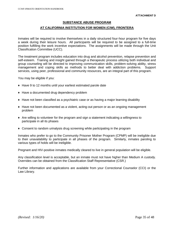#### **SUBSTANCE ABUSE PROGRAM**

#### **AT CALIFORNIA INSTITUTION FOR WOMEN (CIW), FRONTERA**

Inmates will be required to involve themselves in a daily structured four-hour program for five days a week during their leisure hours. All participants will be required to be assigned to a full-time position fulfilling the work incentive expectations. The assignments will be made through the Unit Classification Committee (UCC).

The treatment program includes education into drug and alcohol prevention, relapse prevention and self-esteem. Training and insight gained through a therapeutic process utilizing both individual and group counseling will be directed to improving communication skills, problem-solving ability, stress management and coping skills as methods to better deal with addiction problems. Support services, using peer, professional and community resources, are an integral part of this program.

You may be eligible if you:

- ♦ Have 9 to 12 months until your earliest estimated parole date
- ♦ Have a documented drug dependency problem
- ♦ Have not been classified as a psychiatric case or as having a major learning disability
- ♦ Have not been documented as a violent, acting-out person or as an ongoing management problem
- ♦ Are willing to volunteer for the program and sign a statement indicating a willingness to participate in all its phases
- ♦ Consent to random urinalysis drug screening while participating in the program

Inmates who prefer to go to the Community Prisoner Mother Program (CPMP) will be ineligible due to their unavailability to participate in all phases of the program. Similarly, inmates paroling to various types of holds will be ineligible.

Pregnant and HIV-positive inmates medically cleared to live in general population will be eligible.

Any classification level is acceptable, but an inmate must not have higher than Medium A custody. Overrides can be obtained from the Classification Staff Representative (CSR.)

Further information and applications are available from your Correctional Counselor (CCI) or the Law Library.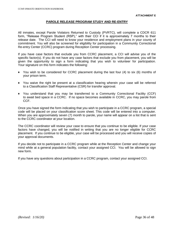# **PAROLE RELEASE PROGRAM STUDY AND RE-ENTRY**

All inmates, except Parole Violators Returned to Custody (PVRTC), will complete a CDCR 611 form, "Release Program Student (RSP)," with their CCI if it is approximately 7 months to their release date. The CCI will need to know your residence and employment plans in your county of commitment. You will also be screened for eligibility for participation in a Community Correctional Re-entry Center (CCRC) program during Reception Center processing.

If you have case factors that exclude you from CCRC placement, a CCI will advise you of the specific factor(s). If you do not have any case factors that exclude you from placement, you will be given the opportunity to sign a form indicating that you wish to volunteer for participation. Your signature on this form indicates the following:

- ♦ You wish to be considered for CCRC placement during the last four (4) to six (6) months of your prison term.
- ♦ You waive the right be present at a classification hearing wherein your case will be referred to a Classification Staff Representative (CSR) for transfer approval.
- ♦ You understand that you may be transferred to a Community Correctional Facility (CCF) to await bed space in a CCRC. If no space becomes available in CCRC, you may parole from CCF.

Once you have signed the form indicating that you wish to participate in a CCRC program, a special code will be placed on your classification score sheet. This code will be entered into a computer. When you are approximately seven (7) month to parole, your name will appear on a list that is sent to the CCRC coordinator at your location.

The CCRC coordinator will review your case to ensure that you continue to be eligible. If your case factors have changed, you will be notified in writing that you are no longer eligible for CCRC placement. If you continue to be eligible, your case will be processed and you will receive copies of your approval documents.

If you decide not to participate in a CCRC program while at the Reception Center and change your mind while at a general population facility, contact your assigned CCI. You will be allowed to sign new form.

If you have any questions about participation in a CCRC program, contact your assigned CCI.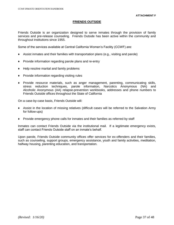# **FRIENDS OUTSIDE**

Friends Outside is an organization designed to serve inmates through the provision of family services and pre-release counseling. Friends Outside has been active within the community and throughout institutions since 1955.

Some of the services available at Central California Women's Facility (CCWF) are:

- $\blacklozenge$  Assist inmates and their families with transportation plans (e.g., visiting and parole)
- ♦ Provide information regarding parole plans and re-entry
- ♦ Help resolve marital and family problems
- ♦ Provide information regarding visiting rules
- ♦ Provide resource materials, such as anger management, parenting, communicating skills, stress reduction techniques, parole information, Narcotics Anonymous (NA) and Alcoholic Anonymous (AA) relapse-prevention workbooks, addresses and phone numbers to Friends Outside offices throughout the State of California

On a case-by-case basis, Friends Outside will:

- ♦ Assist in the location of missing relatives (difficult cases will be referred to the Salvation Army for follow-ups)
- ♦ Provide emergency phone calls for inmates and their families as referred by staff

Inmates can contact Friends Outside via the institutional mail. If a legitimate emergency exists, staff can contact Friends Outside staff on an inmate's behalf.

Upon parole, Friends Outside community offices offer services for ex-offenders and their families, such as counseling, support groups, emergency assistance, youth and family activities, meditation, halfway housing, parenting education, and transportation.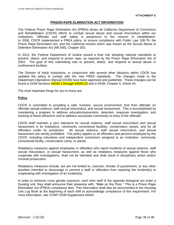#### **PRISON RAPE ELIMINATION ACT INFORMATION**

The Federal Prison Rape Elimination Act (PREA) drives all California Department of Corrections and Rehabilitation (CDCR) efforts to combat sexual abuse and sexual misconduct within our institutions. Offender and staff safety is paramount to the mission of rehabilitation. In 2006, CDCR implemented a PREA policy, to ensure compliance with Public Law 108-79, the Prison Rape Elimination Act, and the California version which was known as the Sexual Abuse in Detention Elimination Act (AB 550), Chapter 303.

In 2012, the Federal Department of Justice issued a final rule adopting national standards to prevent, detect, and respond to prison rape, as required by the Prison Rape Elimination Act of 2003. The goal of this rulemaking was to prevent, detect, and respond to sexual abuse in confinement facilities.

The Division of Adult Institutions, in conjunction with several other divisions within CDCR has updated the policy to comply with the new PREA standards. The changes made to the Department Operations Manual (DOM) have been approved and published. These changes can be found in DOM Sections 54040.1 through 54040.23 and in DOM, Chapter 5, Article 44.

The most important things for you to know are:

#### **Policy**

CDCR is committed to providing a safe, humane, secure environment, free from offender on offender sexual violence, staff sexual misconduct, and sexual harassment. This is accomplished by maintaining a program to address education/prevention, detection, response investigation, and tracking of these behaviors and to address successful community re-entry of the offender.

CDCR shall maintain a zero tolerance for sexual violence, staff sexual misconduct and sexual harassment in its institutions, community correctional facilities, conservation camps, and for all offenders under its jurisdiction. All sexual violence, staff sexual misconduct, and sexual harassment are strictly prohibited. This policy applies to all offenders and persons employed by the CDCR, including volunteers and independent contractors assigned to an institution, community correctional facility, conservation camp, or parole.

Retaliatory measures against employees or offenders who report incidents of sexual violence, staff sexual misconduct, or sexual harassment, as well as retaliatory measures against those who cooperate with investigations, shall not be tolerated and shall result in disciplinary action and/or criminal prosecution.

Retaliatory measures include, but are not limited to, coercion, threats of punishment, or any other activities intended to discourage or prevent a staff or offenders from reporting the incident(s) or cooperating with investigation of an incident(s).

In order to minimize cross gender exposure, each time staff of the opposite biological sex enter a housing unit, they shall announce their presence with, "Male on the Floor." This is a Prison Rape Elimination Act (PREA) compliance item. This information shall also be documented in the Housing Unit Log Book at the beginning of each shift to acknowledge compliance of this requirement. For more information, see CCWF DOM Supplement 54040.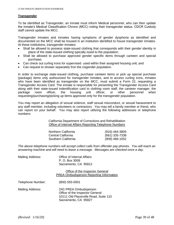#### **Transgender**

To be identified as Transgender, an inmate must inform Medical personnel, who can then update the inmate's Medical Classification Chrono (MCC) noting their transgender status. CDCR Custody staff cannot update the MCC.

Transgender inmates and inmates having symptoms of gender dysphoria as identified and documented on the MCC shall be housed in an institution identified to house transgender inmates. At these institutions, transgender inmates:

- Shall be allowed to possess state-issued clothing that corresponds with their gender identity in place of the state-issued clothing typically issed to the population;
- Shall be allowed to purchase approved gender specific items through canteen and special purchase;
- Can check out curling irons for supervised used within their assigned housing unit; and
- Can request to shower separately fron the cisgender population.

In order to exchange state-issued clothing, purchase canteen items or pick up special purchase (package) items only authourized for transgender inmates, and to access curling irons, inmates who have been identified as transgender on the MCC, must submit a Form 22, requesting a Transgender Access Card. The inmate is responsible for presenting the Transgender Access Card along with their state-issued indentification card to clothing room staff, the canteen manager, the package room officer, the housing unit officer, or other personnel when requesting/purchasing/picking up items approved only for the transgender population.

You may report an allegation of sexual violence, staff sexual misconduct, or sexual harassment to any staff member, including volunteers or contractors. You may tell a family member or friend, who can report on your behalf. You may also report utilizing the following addresses or telephone numbers:

> California Department of Corrections and Rehabilitation Office of Internal Affairs Reporting Telephone Numbers

| Northern California | (916) 464-3805   |
|---------------------|------------------|
| Central California  | (661) 335-7338   |
| Southern California | $(909)$ 466-1052 |

*The above telephone numbers will accept collect calls from offender pay phones. You will reach an answering machine and will need to leave a message. Messages are checked once a day.*

| Mailing Address:  | Office of Internal Affairs<br>P. O. Box 3009<br>Sacramento, CA 95812                                                      |
|-------------------|---------------------------------------------------------------------------------------------------------------------------|
|                   | Office of the Inspector General<br><b>PREA Ombudsperson Reporting Information</b>                                         |
| Telephone Number: | $(800)$ 555-0001                                                                                                          |
| Mailing Address:  | OIG PREA Ombudsperson<br>Office of the Inspector General<br>10111 Old Placerville Road, Suite 110<br>Sacramento, CA 95827 |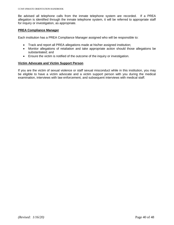Be advised all telephone calls from the inmate telephone system are recorded. If a PREA allegation is identified through the inmate telephone system, it will be referred to appropriate staff for inquiry or investigation, as appropriate.

# **PREA Compliance Manager**

Each institution has a PREA Compliance Manager assigned who will be responsible to:

- Track and report all PREA allegations made at his/her assigned institution;
- Monitor allegations of retaliation and take appropriate action should those allegations be substantiated; and
- Ensure the victim is notified of the outcome of the inquiry or investigation.

#### **Victim Advocate and Victim Support Person**

If you are the victim of sexual violence or staff sexual misconduct while in this institution, you may be eligible to have a victim advocate and a victim support person with you during the medical examination, interviews with law enforcement, and subsequent interviews with medical staff.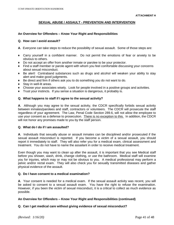# **SEXUAL ABUSE / ASSAULT - PREVENTION AND INTERVENTION**

# **An Overview for Offenders – Know Your Right and Responsibilities**

#### **Q. How can I avoid assault?**

- **A**. Everyone can take steps to reduce the possibility of sexual assault. Some of those steps are:
- ♦ Carry yourself in a confident manner. Do not permit the emotions of fear or anxiety to be obvious to others.
- ♦ Do not accept an offer from another inmate or parolee to be your protector.
- ♦ Find a staff member or parole agent with whom you feel comfortable discussing your concerns about sexual misconduct.
- ♦ Be alert! Contraband substances such as drugs and alcohol will weaken your ability to stay alert and make good judgments.
- ♦ Be direct and firm if others ask you to do something you do not want to do.
- ♦ Stay in well-lit areas.
- ♦ Choose your associates wisely. Look for people involved in a positive groups and activities.
- ♦ Trust your instincts. If you sense a situation is dangerous, it probably is.

### **Q. What happens to staff if I agree to the sexual activity?**

**A**. Although you may agree to the sexual activity, the CDCR specifically forbids sexual activity between inmates/parolees and staff, contractors or volunteers. The CDCR will prosecute the staff regardless of your agreement. The Law, Penal Code Section 289.6, will not allow the employee to use your consent as a defense to prosecution. There is no exception to this. In addition, the CDCR will not honor any promises made to you by the staff person.

# **Q. What do I do if I am assaulted?**

**A**. Individuals that sexually abuse or assault inmates can be disciplined and/or prosecuted if the sexual assault misconduct is reported. If you become a victim of a sexual assault, you should report it immediately to staff. They will also refer you for a medical exam, clinical assessment and treatment. You do not have to name the assailant in order to receive medical treatment.

Even though you may want to clean up after the assault, it is important that you see Medical staff before you shower, wash, drink, change clothing, or use the bathroom. Medical staff will examine you for injuries, which may or may not be obvious to you. A medical professional may perform a pelvic and/or rectal exam. They will also check you for sexually transmitted diseases and gather physical evidence of the assault.

#### **Q. Do I have consent to a medical examination?**

**A**. Your consent is needed for a medical exam. If the sexual assault activity was recent, you will be asked to consent to a sexual assault exam. You have the right to refuse the examination. However, if you been the victim of sexual misconduct, it is a critical to collect as much evidence as possible.

# **An Overview for Offenders – Know Your Right and Responsibilities (continued)**

# **Q. Can I get medical care without giving evidence of sexual misconduct?**

*(Revised: 1/16/20)* Page 41 of 48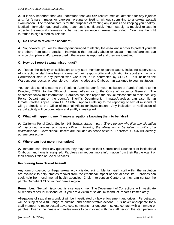**A**. It is very important that you understand that you **can** receive medical attention for any injuries; and, for female inmates or parolees, pregnancy testing, without submitting to a sexual assault examination. The medical care is for the purposes of treating any injuries and keeping you healthy. Medical information gathered during treatment is confidential. You must sign a medical release in order for the medical information to be used as evidence in sexual misconduct. You have the right to refuse to sign a medical release.

# **Q. Do I have to reveal the assailant?**

**A**. No; however, you will be strongly encouraged to identify the assailant in order to protect yourself and others from future attacks. Individuals that sexually abuse or assault inmates/parolees can only be discipline and/or prosecuted if the assault is reported and they are identified.

# **Q. How do I report sexual misconduct?**

**A**. Report the activity or solicitation to any staff member or parole agent, including supervisors. All correctional staff have been informed of their responsibility and obligation to report such activity. Correctional staff is any person who works for, or is contracted by CDCR. This includes the Warden, your doctor, or your clergy. It also includes any Ombudsman assigned to your institution.

You can also send a letter to the Regional Administrator for your institution or Parole Region: to the Director, CDCR; to the Office of Internal Affairs; or to the Office of Inspector General. The addresses follow this information. Parolees can also report the sexual misconduct to their local city Police Department or the county's Sheriff's Department. Inmates/parolees can also file an Inmate/Parolee Appeal Form CDCR 602. Appeals relating to the reporting of sexual misconduct will go directly to the Office of Internal Affairs for investigation. Any indication or notification of sexual activity will be completely and swiftly investigated.

# **Q. What will happen to me if I make allegations knowing them to be false?**

**A**. California Penal Code, Section 148.6(a)(1), states in part, *"Every person who files any allegation of misconduct against any peace officer… knowing the allegation to be false, is guilty of a misdemeanor."* Correctional Officers are included as peace officers. Therefore, CDCR will actively pursue prosecution.

# **Q. Where can I get more information?**

**A.** Inmates can direct any questions they may have to their Correctional Counselor or institutional Ombudsman, if one is assigned. Parolees can request more information from their Parole Agent or their county Office of Social Services.

# **Recovering from Sexual Assault**

Any form of coerced or illegal sexual activity is degrading. Mental health staff within the institution are available to help inmates recover from the emotional impact of sexual assaults. Parolees can seek help from local mental health agencies, Crisis Intervention Centers or they can contact the parole Outpatient Clinic in their parole region.

**Remember:** Sexual misconduct is a serious crime. The Department of Corrections will investigate all reports of sexual misconduct. If you are a victim of sexual misconduct, report it immediately!

Allegations of sexual misconduct will be investigated by law enforcement authorities. Perpetrators will be subject to a full range of criminal and administrative actions. It is never appropriate for a staff member to make sexual advances, comments, or engage in sexual contact with an inmate or parolee. Even if the inmate or parolee wants to be involved with the staff person, the staff person is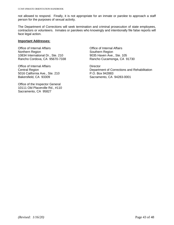not allowed to respond. Finally, it is not appropriate for an inmate or parolee to approach a staff person for the purposes of sexual activity.

The Department of Corrections will seek termination and criminal prosecution of state employees, contractors or volunteers. Inmates or parolees who knowingly and intentionally file false reports will face legal action.

#### **Important Addresses:**

Office of Internal Affairs Office of Internal Affairs Northern Region<br>10834 International Dr., Ste. 210 Southern Region<br>10834 International Dr., Ste. 210 9035 Haven Ave., Ste. 105 10834 International Dr., Ste. 210 Rancho Cordova, CA 95670-7338 Rancho Cucamonga, CA 91730

Office of Internal Affairs **Director** Director 5016 California Ave., Ste. 210 P.O. Box 942883 Bakersfield, CA 93309 Sacramento, CA 94283-0001

Office of the Inspector General 10111 Old Placerville Rd., #110 Sacramento, CA 95827

Central Region Department of Corrections and Rehabilitation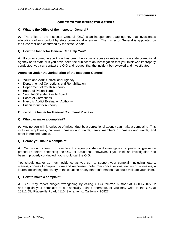# **OFFICE OF THE INSPECTOR GENERAL**

#### **Q. What is the Office of the Inspector General?**

**A.** The office of the Inspector General (OIG) is an independent state agency that investigates allegations of misconduct by state correctional agencies. The Inspector General is appointed by the Governor and confirmed by the state Senate.

#### **Q. How the Inspector General Can Help You?**

**A.** If you or someone you know has been the victim of abuse or retaliation by a state correctional agency or its staff, or if you have been the subject of an investigation that you think was improperly conducted, you can contact the OIG and request that the incident be reviewed and investigated.

#### **Agencies Under the Jurisdiction of the Inspector General**

- ♦ Youth and Adult Correctional Agency
- ♦ Department of Corrections and Rehabilitation
- ♦ Department of Youth Authority
- ♦ Board of Prison Terms
- ♦ Youthful Offender Parole Board
- ♦ Board of Corrections
- ♦ Narcotic Addict Evaluation Authority
- ♦ Prison Industry Authority

#### **Office of the Inspector General Complaint Process**

#### **Q. Who can make a complaint?**

**A.** Any person with knowledge of misconduct by a correctional agency can make a complaint. This includes employees, parolees, inmates and wards, family members of inmates and wards, and other interested parties.

#### **Q. Before you make a complaint.**

**A.** You should attempt to complete the agency's standard investigative, appeals, or grievance procedure before contacting the OIG for assistance. However, if you think an investigation has been improperly conducted, you should call the OIG.

You should gather as much evidence as you can to support your complaint-including letters, memos, copies of complaint form and responses, note from conversations, names of witnesses, a journal describing the history of the situation or any other information that could validate your claim.

#### **Q. How to make a complaint.**

**A.** You may report alleged wrongdoing by calling OIG's toll-free number at 1-800-700-5952 and explain your complaint to our specially trained operators, or you may write to the OIG at 10111 Old Placerville Road, #110, Sacramento, California 95827.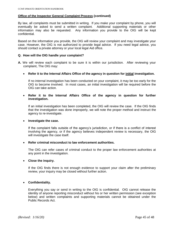#### **Office of the Inspector General Complaint Process (continued)**

By law, all complaints must be submitted in writing. If you make your complaint by phone, you will eventually be asked to send a written complaint. Additional supporting materials or other information may also be requested. Any information you provide to the OIG will be kept confidential.

Based on the information you provide, the OIG will review your complaint and may investigate your case. However, the OIG is not authorized to provide legal advice. If you need legal advice, you should contact a private attorney or your local legal Aid office.

#### **Q. How will the OIG handle your complaint?**

- **A.** We will review each complaint to be sure it is within our jurisdiction. After reviewing your complaint, The OIG may:
	- **Refer it to the Internal Affairs Office of the agency in question for initial investigation.**

If no internal investigation has been conducted on your complaint, it may be too early for the OIG to become involved. In most cases, an initial investigation will be required before the OIG can take action.

### **Refer it to the Internal Affairs Office of the agency in question for further investigation.**

If an initial investigation has been completed, the OIG will review the case. If the OIG finds that the investigation was done improperly, we will note the proper method and instruct the agency to re-investigate.

#### **Investigate the case.**

If the complaint falls outside of the agency's jurisdiction, or if there is a conflict of interest involving the agency, or if the agency believes independent review is necessary, the OIG will investigate the case itself.

#### **Refer criminal misconduct to law enforcement authorities.**

The OIG can refer cases of criminal conduct to the proper law enforcement authorities at any point in the investigation.

#### **Close the inquiry.**

If the OIG finds there is not enough evidence to support your claim after the preliminary review, your inquiry may be closed without further action.

#### **Confidentiality.**

Everything you say or send in writing to the OIG is confidential. OIG cannot release the identity of anyone reporting misconduct without his or her written permission (see exception below) and written complaints and supporting materials cannot be obtained under the Public Records Act.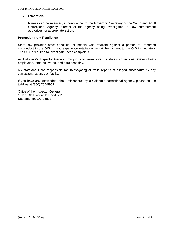#### **Exception.**

Names can be released, in confidence, to the Governor, Secretary of the Youth and Adult Correctional Agency, director of the agency being investigated, or law enforcement authorities for appropriate action.

#### **Protection from Retaliation**

State law provides strict penalties for people who retaliate against a person for reporting misconduct to the OIG. If you experience retaliation, report the incident to the OIG immediately. The OIG is required to investigate these complaints.

As California's Inspector General, my job is to make sure the state's correctional system treats employees, inmates, wards, and parolees fairly.

My staff and I are responsible for investigating all valid reports of alleged misconduct by any correctional agency or facility.

If you have any knowledge, about misconduct by a California correctional agency, please call us toll-free at (800) 700-5952.

Office of the Inspector General 10111 Old Placerville Road, #110 Sacramento, CA 95827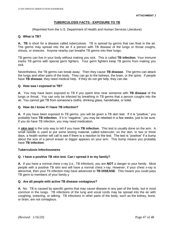# **TUBERCULOSIS FACTS - EXPOSURE TO TB**

(Reprinted from the U.S. Department of Health and Human Services Literature)

### **Q. What is TB?**

**A. TB** is short for a disease called tuberculosis. TB is spread by germs that can float in the air. The germs may spread into the air if a person with TB disease of the lungs or throat coughs, shouts, or sneezes. Anyone nearby can breathe TB germs into their lungs.

TB germs can live in your body without making you sick. This is called **TB infection**. Your immune tracks TB germs with special germ fighters. Your germ fighters keep TB germs from making you sick.

Nevertheless, the TB germs can break away. Then they cause **TB disease**. The germs can attack the lungs and other parts of the body. They can go to the kidneys, the brain, or the spine. If people have **TB disease**, they need medical help. If they do not get help, they can die.

### **Q. How was I exposed to TB?**

**A.** You may have been exposed to TB if you spent time near someone with **TB disease** of the lungs or throat. You can only be infected by breathing in TB germs that a person coughs into the air. You cannot get TB from someone's cloths, drinking glass, handshake, or toilet.

### **Q. How do I know if I have TB infection?**

**A.** If you have been exposed to TB germs, you will be given a TB skin test. If it is "positive," you probably have **TB infection**. If it is "negative," you may be retested in a few weeks, just to be sure. If you do have TB infection, you may need medication.

A **skin test** is the only way to tell if you have **TB infection**. This test is usually done on the arm. A small needle is used to put some testing material, called tuberculin, on the skin. In two or three days, a health worker will call to see if there is a reaction to the test. The test is "positive" if a bump about the size of a pencil eraser or bigger appears on your arm. This bump means you probably have **TB infection**.

#### **Tuberculosis Infectiousness**

#### **Q. I have a positive TB skin test. Can I spread it to my family?**

**A.** If you have a normal chest x-ray (i.e., TB infection), you are **NOT** a danger to your family. Most people with a positive TB skin test will have a normal chest x-ray. However, if your chest x-ray is abnormal, then your Tb infection may have advanced to **TB DISEASE**. This means you could pass TB germ to members of your family.y

#### **Q. Are all people with active TB disease contagious?**

**A.** No. TB is caused by specific germs that may cause disease in any part of the body, but is most common in the lungs. TB infections of the lung and vocal cords may be spread into the air with coughing, sneezing, or talking. TB infections in other parts of the body, such as the kidney, bone, or brain, are not contagious.